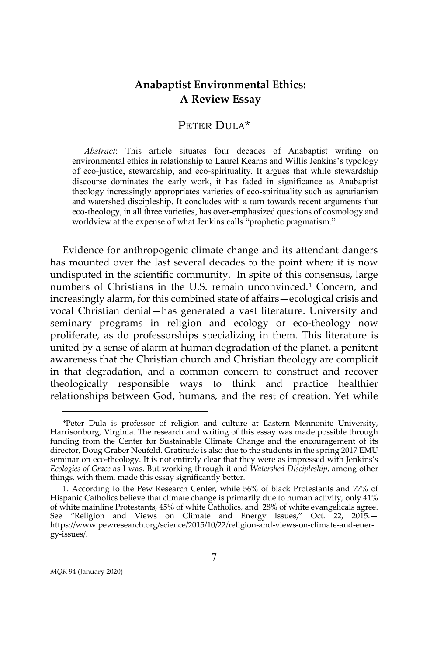# **Anabaptist Environmental Ethics: A Review Essay**

## PETER DULA\*

*Abstract*: This article situates four decades of Anabaptist writing on environmental ethics in relationship to Laurel Kearns and Willis Jenkins's typology of eco-justice, stewardship, and eco-spirituality. It argues that while stewardship discourse dominates the early work, it has faded in significance as Anabaptist theology increasingly appropriates varieties of eco-spirituality such as agrarianism and watershed discipleship. It concludes with a turn towards recent arguments that eco-theology, in all three varieties, has over-emphasized questions of cosmology and worldview at the expense of what Jenkins calls "prophetic pragmatism."

Evidence for anthropogenic climate change and its attendant dangers has mounted over the last several decades to the point where it is now undisputed in the scientific community. In spite of this consensus, large numbers of Christians in the U.S. remain unconvinced.[1](#page-0-0) Concern, and increasingly alarm, for this combined state of affairs—ecological crisis and vocal Christian denial—has generated a vast literature. University and seminary programs in religion and ecology or eco-theology now proliferate, as do professorships specializing in them. This literature is united by a sense of alarm at human degradation of the planet, a penitent awareness that the Christian church and Christian theology are complicit in that degradation, and a common concern to construct and recover theologically responsible ways to think and practice healthier relationships between God, humans, and the rest of creation. Yet while

<span id="page-0-0"></span><sup>\*</sup>Peter Dula is professor of religion and culture at Eastern Mennonite University, Harrisonburg, Virginia. The research and writing of this essay was made possible through funding from the Center for Sustainable Climate Change and the encouragement of its director, Doug Graber Neufeld. Gratitude is also due to the students in the spring 2017 EMU seminar on eco-theology. It is not entirely clear that they were as impressed with Jenkins's *Ecologies of Grace* as I was. But working through it and *Watershed Discipleship*, among other things, with them, made this essay significantly better.

<sup>1.</sup> According to the Pew Research Center, while 56% of black Protestants and 77% of Hispanic Catholics believe that climate change is primarily due to human activity, only 41% of white mainline Protestants, 45% of white Catholics, and 28% of white evangelicals agree. See "Religion and Views on Climate and Energy Issues," Oct. 22, 2015. https://www.pewresearch.org/science/2015/10/22/religion-and-views-on-climate-and-energy-issues/.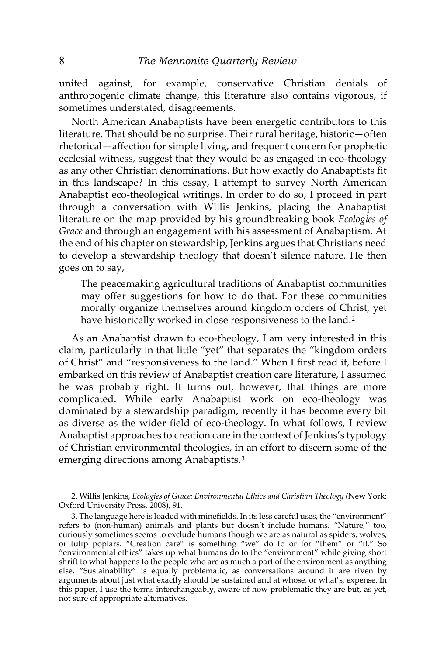united against, for example, conservative Christian denials of anthropogenic climate change, this literature also contains vigorous, if sometimes understated, disagreements.

North American Anabaptists have been energetic contributors to this literature. That should be no surprise. Their rural heritage, historic—often rhetorical—affection for simple living, and frequent concern for prophetic ecclesial witness, suggest that they would be as engaged in eco-theology as any other Christian denominations. But how exactly do Anabaptists fit in this landscape? In this essay, I attempt to survey North American Anabaptist eco-theological writings. In order to do so, I proceed in part through a conversation with Willis Jenkins, placing the Anabaptist literature on the map provided by his groundbreaking book *Ecologies of Grace* and through an engagement with his assessment of Anabaptism. At the end of his chapter on stewardship, Jenkins argues that Christians need to develop a stewardship theology that doesn't silence nature. He then goes on to say,

The peacemaking agricultural traditions of Anabaptist communities may offer suggestions for how to do that. For these communities morally organize themselves around kingdom orders of Christ, yet have historically worked in close responsiveness to the land.<sup>[2](#page-1-0)</sup>

As an Anabaptist drawn to eco-theology, I am very interested in this claim, particularly in that little "yet" that separates the "kingdom orders of Christ" and "responsiveness to the land." When I first read it, before I embarked on this review of Anabaptist creation care literature, I assumed he was probably right. It turns out, however, that things are more complicated. While early Anabaptist work on eco-theology was dominated by a stewardship paradigm, recently it has become every bit as diverse as the wider field of eco-theology. In what follows, I review Anabaptist approaches to creation care in the context of Jenkins's typology of Christian environmental theologies, in an effort to discern some of the emerging directions among Anabaptists.[3](#page-1-1)

<span id="page-1-0"></span><sup>2.</sup> Willis Jenkins, *Ecologies of Grace: Environmental Ethics and Christian Theology* (New York: Oxford University Press, 2008), 91.

<span id="page-1-1"></span><sup>3.</sup> The language here is loaded with minefields. In its less careful uses, the "environment" refers to (non-human) animals and plants but doesn't include humans. "Nature," too, curiously sometimes seems to exclude humans though we are as natural as spiders, wolves, or tulip poplars. "Creation care" is something "we" do to or for "them" or "it." So "environmental ethics" takes up what humans do to the "environment" while giving short shrift to what happens to the people who are as much a part of the environment as anything else. "Sustainability" is equally problematic, as conversations around it are riven by arguments about just what exactly should be sustained and at whose, or what's, expense. In this paper, I use the terms interchangeably, aware of how problematic they are but, as yet, not sure of appropriate alternatives.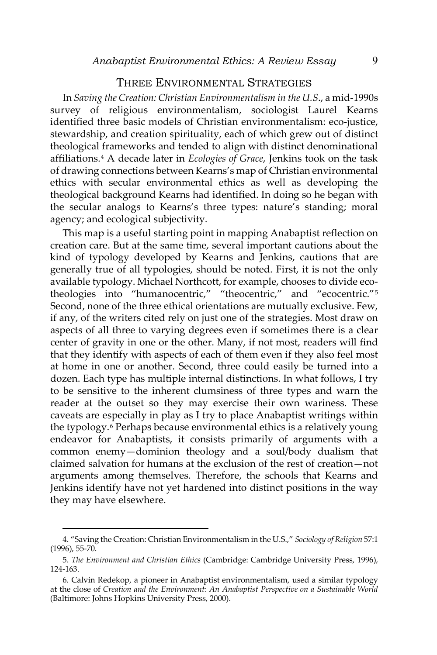### THREE ENVIRONMENTAL STRATEGIES

In *Saving the Creation: Christian Environmentalism in the U.S*., a mid-1990s survey of religious environmentalism, sociologist Laurel Kearns identified three basic models of Christian environmentalism: eco-justice, stewardship, and creation spirituality, each of which grew out of distinct theological frameworks and tended to align with distinct denominational affiliations.[4](#page-2-0) A decade later in *Ecologies of Grace*, Jenkins took on the task of drawing connections between Kearns's map of Christian environmental ethics with secular environmental ethics as well as developing the theological background Kearns had identified. In doing so he began with the secular analogs to Kearns's three types: nature's standing; moral agency; and ecological subjectivity.

This map is a useful starting point in mapping Anabaptist reflection on creation care. But at the same time, several important cautions about the kind of typology developed by Kearns and Jenkins, cautions that are generally true of all typologies, should be noted. First, it is not the only available typology. Michael Northcott, for example, chooses to divide ecotheologies into "humanocentric," "theocentric," and "ecocentric."[5](#page-2-1) Second, none of the three ethical orientations are mutually exclusive. Few, if any, of the writers cited rely on just one of the strategies. Most draw on aspects of all three to varying degrees even if sometimes there is a clear center of gravity in one or the other. Many, if not most, readers will find that they identify with aspects of each of them even if they also feel most at home in one or another. Second, three could easily be turned into a dozen. Each type has multiple internal distinctions. In what follows, I try to be sensitive to the inherent clumsiness of three types and warn the reader at the outset so they may exercise their own wariness. These caveats are especially in play as I try to place Anabaptist writings within the typology.<sup>[6](#page-2-2)</sup> Perhaps because environmental ethics is a relatively young endeavor for Anabaptists, it consists primarily of arguments with a common enemy—dominion theology and a soul/body dualism that claimed salvation for humans at the exclusion of the rest of creation—not arguments among themselves. Therefore, the schools that Kearns and Jenkins identify have not yet hardened into distinct positions in the way they may have elsewhere.

<span id="page-2-0"></span><sup>4. &</sup>quot;Saving the Creation: Christian Environmentalism in the U.S.," *Sociology of Religion* 57:1 (1996), 55-70.

<span id="page-2-1"></span><sup>5.</sup> *The Environment and Christian Ethics* (Cambridge: Cambridge University Press, 1996), 124-163.

<span id="page-2-2"></span><sup>6.</sup> Calvin Redekop, a pioneer in Anabaptist environmentalism, used a similar typology at the close of *Creation and the Environment: An Anabaptist Perspective on a Sustainable World*  (Baltimore: Johns Hopkins University Press, 2000).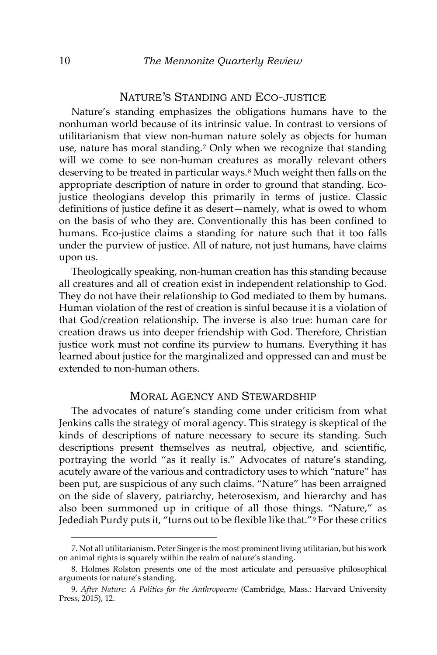## NATURE'S STANDING AND ECO-JUSTICE

Nature's standing emphasizes the obligations humans have to the nonhuman world because of its intrinsic value. In contrast to versions of utilitarianism that view non-human nature solely as objects for human use, nature has moral standing.[7](#page-3-0) Only when we recognize that standing will we come to see non-human creatures as morally relevant others deserving to be treated in particular ways.<sup>[8](#page-3-1)</sup> Much weight then falls on the appropriate description of nature in order to ground that standing. Ecojustice theologians develop this primarily in terms of justice. Classic definitions of justice define it as desert—namely, what is owed to whom on the basis of who they are. Conventionally this has been confined to humans. Eco-justice claims a standing for nature such that it too falls under the purview of justice. All of nature, not just humans, have claims upon us.

Theologically speaking, non-human creation has this standing because all creatures and all of creation exist in independent relationship to God. They do not have their relationship to God mediated to them by humans. Human violation of the rest of creation is sinful because it is a violation of that God/creation relationship. The inverse is also true: human care for creation draws us into deeper friendship with God. Therefore, Christian justice work must not confine its purview to humans. Everything it has learned about justice for the marginalized and oppressed can and must be extended to non-human others.

## MORAL AGENCY AND STEWARDSHIP

The advocates of nature's standing come under criticism from what Jenkins calls the strategy of moral agency. This strategy is skeptical of the kinds of descriptions of nature necessary to secure its standing. Such descriptions present themselves as neutral, objective, and scientific, portraying the world "as it really is." Advocates of nature's standing, acutely aware of the various and contradictory uses to which "nature" has been put, are suspicious of any such claims. "Nature" has been arraigned on the side of slavery, patriarchy, heterosexism, and hierarchy and has also been summoned up in critique of all those things. "Nature," as Jedediah Purdy puts it, "turns out to be flexible like that."[9](#page-3-2) For these critics

<span id="page-3-0"></span><sup>7.</sup> Not all utilitarianism. Peter Singer is the most prominent living utilitarian, but his work on animal rights is squarely within the realm of nature's standing.

<span id="page-3-1"></span><sup>8.</sup> Holmes Rolston presents one of the most articulate and persuasive philosophical arguments for nature's standing.

<span id="page-3-2"></span><sup>9.</sup> *After Nature: A Politics for the Anthropocene* (Cambridge, Mass.: Harvard University Press, 2015), 12.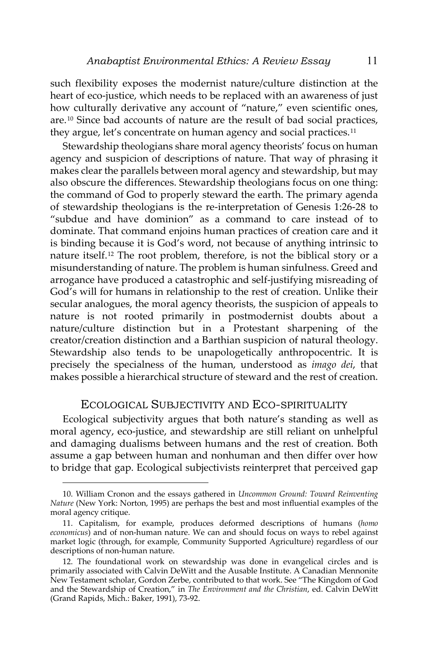such flexibility exposes the modernist nature/culture distinction at the heart of eco-justice, which needs to be replaced with an awareness of just how culturally derivative any account of "nature," even scientific ones, are.[10](#page-4-0) Since bad accounts of nature are the result of bad social practices, they argue, let's concentrate on human agency and social practices.<sup>[11](#page-4-1)</sup>

Stewardship theologians share moral agency theorists' focus on human agency and suspicion of descriptions of nature. That way of phrasing it makes clear the parallels between moral agency and stewardship, but may also obscure the differences. Stewardship theologians focus on one thing: the command of God to properly steward the earth. The primary agenda of stewardship theologians is the re-interpretation of Genesis 1:26-28 to "subdue and have dominion" as a command to care instead of to dominate. That command enjoins human practices of creation care and it is binding because it is God's word, not because of anything intrinsic to nature itself.[12](#page-4-2) The root problem, therefore, is not the biblical story or a misunderstanding of nature. The problem is human sinfulness. Greed and arrogance have produced a catastrophic and self-justifying misreading of God's will for humans in relationship to the rest of creation. Unlike their secular analogues, the moral agency theorists, the suspicion of appeals to nature is not rooted primarily in postmodernist doubts about a nature/culture distinction but in a Protestant sharpening of the creator/creation distinction and a Barthian suspicion of natural theology. Stewardship also tends to be unapologetically anthropocentric. It is precisely the specialness of the human, understood as *imago dei*, that makes possible a hierarchical structure of steward and the rest of creation.

## ECOLOGICAL SUBJECTIVITY AND ECO-SPIRITUALITY

Ecological subjectivity argues that both nature's standing as well as moral agency, eco-justice, and stewardship are still reliant on unhelpful and damaging dualisms between humans and the rest of creation. Both assume a gap between human and nonhuman and then differ over how to bridge that gap. Ecological subjectivists reinterpret that perceived gap

<span id="page-4-0"></span><sup>10.</sup> William Cronon and the essays gathered in *Uncommon Ground: Toward Reinventing Nature* (New York: Norton, 1995) are perhaps the best and most influential examples of the moral agency critique.

<span id="page-4-1"></span><sup>11.</sup> Capitalism, for example, produces deformed descriptions of humans (*homo economicus*) and of non-human nature. We can and should focus on ways to rebel against market logic (through, for example, Community Supported Agriculture) regardless of our descriptions of non-human nature.

<span id="page-4-2"></span><sup>12.</sup> The foundational work on stewardship was done in evangelical circles and is primarily associated with Calvin DeWitt and the Ausable Institute. A Canadian Mennonite New Testament scholar, Gordon Zerbe, contributed to that work. See "The Kingdom of God and the Stewardship of Creation," in *The Environment and the Christian*, ed. Calvin DeWitt (Grand Rapids, Mich.: Baker, 1991), 73-92.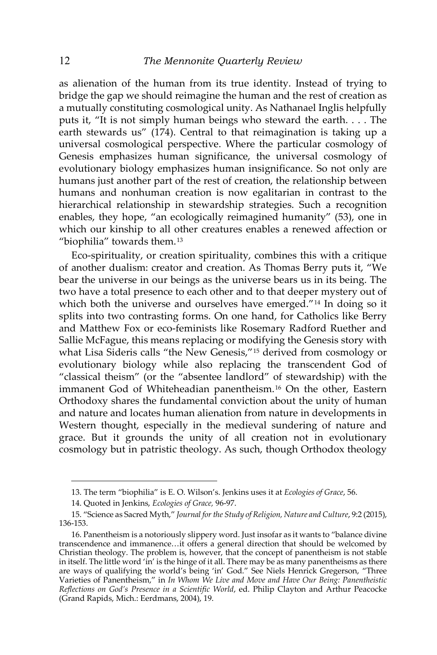as alienation of the human from its true identity. Instead of trying to bridge the gap we should reimagine the human and the rest of creation as a mutually constituting cosmological unity. As Nathanael Inglis helpfully puts it, "It is not simply human beings who steward the earth. . . . The earth stewards us" (174). Central to that reimagination is taking up a universal cosmological perspective. Where the particular cosmology of Genesis emphasizes human significance, the universal cosmology of evolutionary biology emphasizes human insignificance. So not only are humans just another part of the rest of creation, the relationship between humans and nonhuman creation is now egalitarian in contrast to the hierarchical relationship in stewardship strategies. Such a recognition enables, they hope, "an ecologically reimagined humanity" (53), one in which our kinship to all other creatures enables a renewed affection or "biophilia" towards them.[13](#page-5-0)

Eco-spirituality, or creation spirituality, combines this with a critique of another dualism: creator and creation. As Thomas Berry puts it, "We bear the universe in our beings as the universe bears us in its being. The two have a total presence to each other and to that deeper mystery out of which both the universe and ourselves have emerged."<sup>[14](#page-5-1)</sup> In doing so it splits into two contrasting forms. On one hand, for Catholics like Berry and Matthew Fox or eco-feminists like Rosemary Radford Ruether and Sallie McFague, this means replacing or modifying the Genesis story with what Lisa Sideris calls "the New Genesis,"[15](#page-5-2) derived from cosmology or evolutionary biology while also replacing the transcendent God of "classical theism" (or the "absentee landlord" of stewardship) with the immanent God of Whiteheadian panentheism.[16](#page-5-3) On the other, Eastern Orthodoxy shares the fundamental conviction about the unity of human and nature and locates human alienation from nature in developments in Western thought, especially in the medieval sundering of nature and grace. But it grounds the unity of all creation not in evolutionary cosmology but in patristic theology. As such, though Orthodox theology

<sup>13.</sup> The term "biophilia" is E. O. Wilson's. Jenkins uses it at *Ecologies of Grace*, 56.

<sup>14.</sup> Quoted in Jenkins, *Ecologies of Grace,* 96-97.

<span id="page-5-2"></span><span id="page-5-1"></span><span id="page-5-0"></span><sup>15. &</sup>quot;Science as Sacred Myth," *Journal for the Study of Religion, Nature and Culture*, 9:2 (2015), 136-153.

<span id="page-5-3"></span><sup>16.</sup> Panentheism is a notoriously slippery word. Just insofar as it wants to "balance divine transcendence and immanence…it offers a general direction that should be welcomed by Christian theology. The problem is, however, that the concept of panentheism is not stable in itself. The little word 'in' is the hinge of it all. There may be as many panentheisms as there are ways of qualifying the world's being 'in' God." See Niels Henrick Gregerson, "Three Varieties of Panentheism," in *In Whom We Live and Move and Have Our Being: Panentheistic Reflections on God's Presence in a Scientific World*, ed. Philip Clayton and Arthur Peacocke (Grand Rapids, Mich.: Eerdmans, 2004), 19.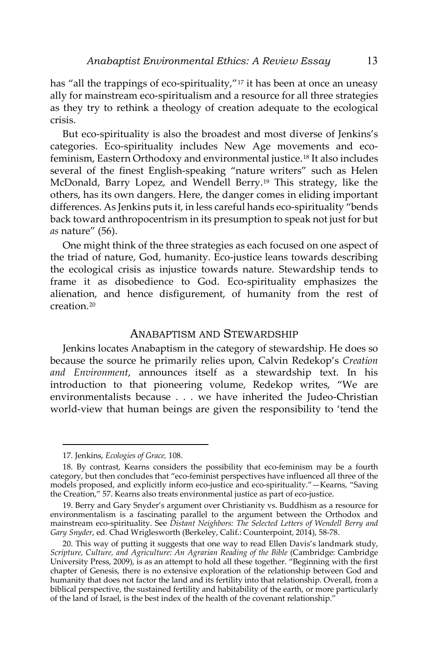has "all the trappings of eco-spirituality,"<sup>[17](#page-6-0)</sup> it has been at once an uneasy ally for mainstream eco-spiritualism and a resource for all three strategies as they try to rethink a theology of creation adequate to the ecological crisis.

But eco-spirituality is also the broadest and most diverse of Jenkins's categories. Eco-spirituality includes New Age movements and ecofeminism, Eastern Orthodoxy and environmental justice.[18](#page-6-1) It also includes several of the finest English-speaking "nature writers" such as Helen McDonald, Barry Lopez, and Wendell Berry.[19](#page-6-2) This strategy, like the others, has its own dangers. Here, the danger comes in eliding important differences. As Jenkins puts it, in less careful hands eco-spirituality "bends back toward anthropocentrism in its presumption to speak not just for but *as* nature" (56).

One might think of the three strategies as each focused on one aspect of the triad of nature, God, humanity. Eco-justice leans towards describing the ecological crisis as injustice towards nature. Stewardship tends to frame it as disobedience to God. Eco-spirituality emphasizes the alienation, and hence disfigurement, of humanity from the rest of creation.[20](#page-6-3)

## ANABAPTISM AND STEWARDSHIP

Jenkins locates Anabaptism in the category of stewardship. He does so because the source he primarily relies upon, Calvin Redekop's *Creation and Environment*, announces itself as a stewardship text. In his introduction to that pioneering volume, Redekop writes, "We are environmentalists because . . . we have inherited the Judeo-Christian world-view that human beings are given the responsibility to 'tend the

<sup>17.</sup> Jenkins, *Ecologies of Grace,* 108.

<span id="page-6-1"></span><span id="page-6-0"></span><sup>18.</sup> By contrast, Kearns considers the possibility that eco-feminism may be a fourth category, but then concludes that "eco-feminist perspectives have influenced all three of the models proposed, and explicitly inform eco-justice and eco-spirituality."—Kearns, "Saving the Creation," 57. Kearns also treats environmental justice as part of eco-justice.

<span id="page-6-2"></span><sup>19.</sup> Berry and Gary Snyder's argument over Christianity vs. Buddhism as a resource for environmentalism is a fascinating parallel to the argument between the Orthodox and mainstream eco-spirituality. See *Distant Neighbors: The Selected Letters of Wendell Berry and Gary Snyder*, ed. Chad Wriglesworth (Berkeley, Calif.: Counterpoint, 2014), 58-78.

<span id="page-6-3"></span><sup>20.</sup> This way of putting it suggests that one way to read Ellen Davis's landmark study, *Scripture, Culture, and Agriculture: An Agrarian Reading of the Bible* (Cambridge: Cambridge University Press, 2009), is as an attempt to hold all these together. "Beginning with the first chapter of Genesis, there is no extensive exploration of the relationship between God and humanity that does not factor the land and its fertility into that relationship. Overall, from a biblical perspective, the sustained fertility and habitability of the earth, or more particularly of the land of Israel, is the best index of the health of the covenant relationship."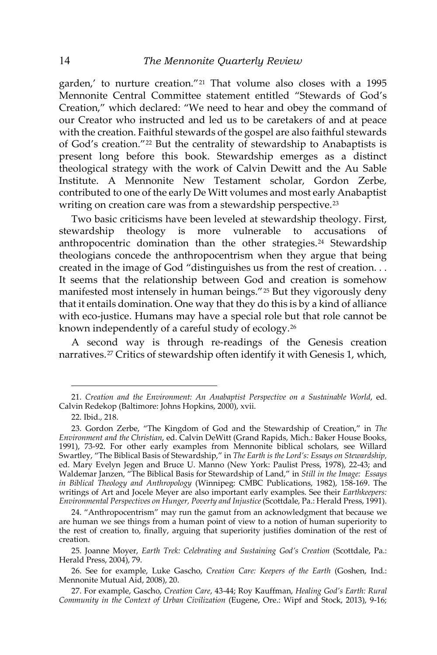garden,' to nurture creation."[21](#page-7-0) That volume also closes with a 1995 Mennonite Central Committee statement entitled "Stewards of God's Creation," which declared: "We need to hear and obey the command of our Creator who instructed and led us to be caretakers of and at peace with the creation. Faithful stewards of the gospel are also faithful stewards of God's creation."[22](#page-7-1) But the centrality of stewardship to Anabaptists is present long before this book. Stewardship emerges as a distinct theological strategy with the work of Calvin Dewitt and the Au Sable Institute. A Mennonite New Testament scholar, Gordon Zerbe, contributed to one of the early De Witt volumes and most early Anabaptist writing on creation care was from a stewardship perspective.<sup>[23](#page-7-2)</sup>

Two basic criticisms have been leveled at stewardship theology. First, stewardship theology is more vulnerable to accusations of anthropocentric domination than the other strategies.<sup>[24](#page-7-3)</sup> Stewardship theologians concede the anthropocentrism when they argue that being created in the image of God "distinguishes us from the rest of creation. . . It seems that the relationship between God and creation is somehow manifested most intensely in human beings."[25](#page-7-4) But they vigorously deny that it entails domination. One way that they do this is by a kind of alliance with eco-justice. Humans may have a special role but that role cannot be known independently of a careful study of ecology.[26](#page-7-5)

A second way is through re-readings of the Genesis creation narratives.[27](#page-7-6) Critics of stewardship often identify it with Genesis 1, which,

<span id="page-7-0"></span><sup>21.</sup> *Creation and the Environment: An Anabaptist Perspective on a Sustainable World*, ed. Calvin Redekop (Baltimore: Johns Hopkins, 2000), xvii.

<sup>22.</sup> Ibid., 218.

<span id="page-7-2"></span><span id="page-7-1"></span><sup>23.</sup> Gordon Zerbe, "The Kingdom of God and the Stewardship of Creation," in *The Environment and the Christian*, ed. Calvin DeWitt (Grand Rapids, Mich.: Baker House Books, 1991), 73-92. For other early examples from Mennonite biblical scholars, see Willard Swartley, "The Biblical Basis of Stewardship," in *The Earth is the Lord's: Essays on Stewardship,*  ed. Mary Evelyn Jegen and Bruce U. Manno (New York: Paulist Press, 1978), 22-43; and Waldemar Janzen, "The Biblical Basis for Stewardship of Land," in *Still in the Image: Essays in Biblical Theology and Anthropology* (Winnipeg: CMBC Publications, 1982), 158-169. The writings of Art and Jocele Meyer are also important early examples. See their *Earthkeepers: Environmental Perspectives on Hunger, Poverty and Injustice* (Scottdale, Pa.: Herald Press, 1991).

<span id="page-7-3"></span><sup>24. &</sup>quot;Anthropocentrism" may run the gamut from an acknowledgment that because we are human we see things from a human point of view to a notion of human superiority to the rest of creation to, finally, arguing that superiority justifies domination of the rest of creation.

<span id="page-7-4"></span><sup>25.</sup> Joanne Moyer, *Earth Trek: Celebrating and Sustaining God's Creation* (Scottdale, Pa.: Herald Press, 2004), 79.

<span id="page-7-5"></span><sup>26.</sup> See for example, Luke Gascho, *Creation Care: Keepers of the Earth* (Goshen, Ind.: Mennonite Mutual Aid, 2008), 20.

<span id="page-7-6"></span><sup>27.</sup> For example, Gascho, *Creation Care*, 43-44; Roy Kauffman, *Healing God's Earth: Rural Community in the Context of Urban Civilization* (Eugene, Ore.: Wipf and Stock, 2013), 9-16;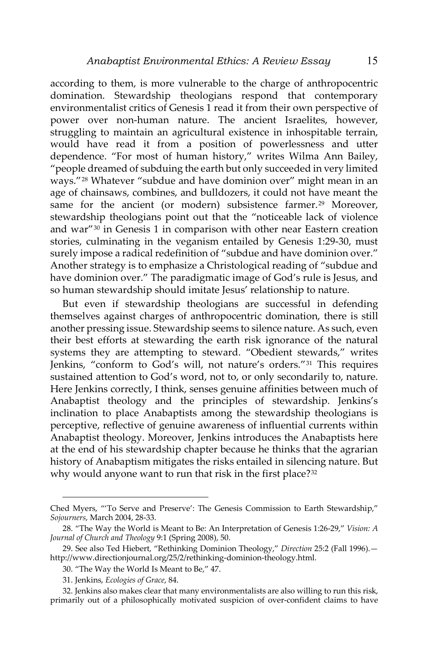according to them, is more vulnerable to the charge of anthropocentric domination. Stewardship theologians respond that contemporary environmentalist critics of Genesis 1 read it from their own perspective of power over non-human nature. The ancient Israelites, however, struggling to maintain an agricultural existence in inhospitable terrain, would have read it from a position of powerlessness and utter dependence. "For most of human history," writes Wilma Ann Bailey, "people dreamed of subduing the earth but only succeeded in very limited ways."[28](#page-8-0) Whatever "subdue and have dominion over" might mean in an age of chainsaws, combines, and bulldozers, it could not have meant the same for the ancient (or modern) subsistence farmer.<sup>[29](#page-8-1)</sup> Moreover, stewardship theologians point out that the "noticeable lack of violence and war"[30](#page-8-2) in Genesis 1 in comparison with other near Eastern creation stories, culminating in the veganism entailed by Genesis 1:29-30, must surely impose a radical redefinition of "subdue and have dominion over." Another strategy is to emphasize a Christological reading of "subdue and have dominion over." The paradigmatic image of God's rule is Jesus, and so human stewardship should imitate Jesus' relationship to nature.

But even if stewardship theologians are successful in defending themselves against charges of anthropocentric domination, there is still another pressing issue. Stewardship seems to silence nature. As such, even their best efforts at stewarding the earth risk ignorance of the natural systems they are attempting to steward. "Obedient stewards," writes Jenkins, "conform to God's will, not nature's orders."[31](#page-8-3) This requires sustained attention to God's word, not to, or only secondarily to, nature. Here Jenkins correctly, I think, senses genuine affinities between much of Anabaptist theology and the principles of stewardship. Jenkins's inclination to place Anabaptists among the stewardship theologians is perceptive, reflective of genuine awareness of influential currents within Anabaptist theology. Moreover, Jenkins introduces the Anabaptists here at the end of his stewardship chapter because he thinks that the agrarian history of Anabaptism mitigates the risks entailed in silencing nature. But why would anyone want to run that risk in the first place?<sup>[32](#page-8-4)</sup>

Ched Myers, "'To Serve and Preserve': The Genesis Commission to Earth Stewardship," *Sojourners*, March 2004, 28-33.

<span id="page-8-0"></span><sup>28. &</sup>quot;The Way the World is Meant to Be: An Interpretation of Genesis 1:26-29," *Vision: A Journal of Church and Theology* 9:1 (Spring 2008), 50.

<span id="page-8-2"></span><span id="page-8-1"></span><sup>29.</sup> See also Ted Hiebert, "Rethinking Dominion Theology," *Direction* 25:2 [\(Fall 1996\)](http://www.directionjournal.org/25/2/index.html). http://www.directionjournal.org/25/2/rethinking-dominion-theology.html.

<sup>30. &</sup>quot;The Way the World Is Meant to Be," 47.

<sup>31.</sup> Jenkins, *Ecologies of Grace*, 84.

<span id="page-8-4"></span><span id="page-8-3"></span><sup>32.</sup> Jenkins also makes clear that many environmentalists are also willing to run this risk, primarily out of a philosophically motivated suspicion of over-confident claims to have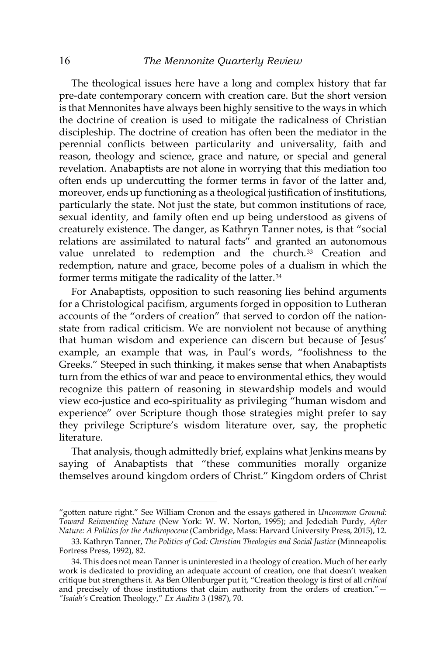The theological issues here have a long and complex history that far pre-date contemporary concern with creation care. But the short version is that Mennonites have always been highly sensitive to the ways in which the doctrine of creation is used to mitigate the radicalness of Christian discipleship. The doctrine of creation has often been the mediator in the perennial conflicts between particularity and universality, faith and reason, theology and science, grace and nature, or special and general revelation. Anabaptists are not alone in worrying that this mediation too often ends up undercutting the former terms in favor of the latter and, moreover, ends up functioning as a theological justification of institutions, particularly the state. Not just the state, but common institutions of race, sexual identity, and family often end up being understood as givens of creaturely existence. The danger, as Kathryn Tanner notes, is that "social relations are assimilated to natural facts" and granted an autonomous value unrelated to redemption and the church.<sup>[33](#page-9-0)</sup> Creation and redemption, nature and grace, become poles of a dualism in which the former terms mitigate the radicality of the latter.[34](#page-9-1)

For Anabaptists, opposition to such reasoning lies behind arguments for a Christological pacifism, arguments forged in opposition to Lutheran accounts of the "orders of creation" that served to cordon off the nationstate from radical criticism. We are nonviolent not because of anything that human wisdom and experience can discern but because of Jesus' example, an example that was, in Paul's words, "foolishness to the Greeks." Steeped in such thinking, it makes sense that when Anabaptists turn from the ethics of war and peace to environmental ethics, they would recognize this pattern of reasoning in stewardship models and would view eco-justice and eco-spirituality as privileging "human wisdom and experience" over Scripture though those strategies might prefer to say they privilege Scripture's wisdom literature over, say, the prophetic literature.

That analysis, though admittedly brief, explains what Jenkins means by saying of Anabaptists that "these communities morally organize themselves around kingdom orders of Christ." Kingdom orders of Christ

<sup>&</sup>quot;gotten nature right." See William Cronon and the essays gathered in *Uncommon Ground: Toward Reinventing Nature* (New York: W. W. Norton, 1995); and Jedediah Purdy, *After Nature: A Politics for the Anthropocene* (Cambridge, Mass: Harvard University Press, 2015), 12.

<span id="page-9-0"></span><sup>33.</sup> Kathryn Tanner, *The Politics of God: Christian Theologies and Social Justice* (Minneapolis: Fortress Press, 1992), 82.

<span id="page-9-1"></span><sup>34.</sup> This does not mean Tanner is uninterested in a theology of creation. Much of her early work is dedicated to providing an adequate account of creation, one that doesn't weaken critique but strengthens it. As Ben Ollenburger put it, "Creation theology is first of all *critical* and precisely of those institutions that claim authority from the orders of creation."*— "Isaiah's* Creation Theology," *Ex Auditu* 3 (1987), 70.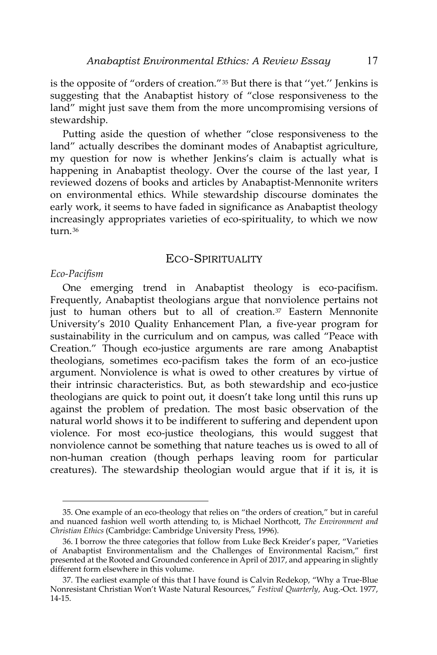is the opposite of "orders of creation."[35](#page-10-0) But there is that ''yet.'' Jenkins is suggesting that the Anabaptist history of "close responsiveness to the land" might just save them from the more uncompromising versions of stewardship.

Putting aside the question of whether "close responsiveness to the land" actually describes the dominant modes of Anabaptist agriculture, my question for now is whether Jenkins's claim is actually what is happening in Anabaptist theology. Over the course of the last year, I reviewed dozens of books and articles by Anabaptist-Mennonite writers on environmental ethics. While stewardship discourse dominates the early work, it seems to have faded in significance as Anabaptist theology increasingly appropriates varieties of eco-spirituality, to which we now turn $36$ 

## ECO-SPIRITUALITY

#### *Eco-Pacifism*

 $\overline{a}$ 

One emerging trend in Anabaptist theology is eco-pacifism. Frequently, Anabaptist theologians argue that nonviolence pertains not just to human others but to all of creation.<sup>[37](#page-10-2)</sup> Eastern Mennonite University's 2010 Quality Enhancement Plan, a five-year program for sustainability in the curriculum and on campus, was called "Peace with Creation." Though eco-justice arguments are rare among Anabaptist theologians, sometimes eco-pacifism takes the form of an eco-justice argument. Nonviolence is what is owed to other creatures by virtue of their intrinsic characteristics. But, as both stewardship and eco-justice theologians are quick to point out, it doesn't take long until this runs up against the problem of predation. The most basic observation of the natural world shows it to be indifferent to suffering and dependent upon violence. For most eco-justice theologians, this would suggest that nonviolence cannot be something that nature teaches us is owed to all of non-human creation (though perhaps leaving room for particular creatures). The stewardship theologian would argue that if it is, it is

<span id="page-10-0"></span><sup>35.</sup> One example of an eco-theology that relies on "the orders of creation," but in careful and nuanced fashion well worth attending to, is Michael Northcott, *The Environment and Christian Ethics* (Cambridge: Cambridge University Press, 1996).

<span id="page-10-1"></span><sup>36.</sup> I borrow the three categories that follow from Luke Beck Kreider's paper, "Varieties of Anabaptist Environmentalism and the Challenges of Environmental Racism," first presented at the Rooted and Grounded conference in April of 2017, and appearing in slightly different form elsewhere in this volume.

<span id="page-10-2"></span><sup>37.</sup> The earliest example of this that I have found is Calvin Redekop, "Why a True-Blue Nonresistant Christian Won't Waste Natural Resources," *Festival Quarterly*, Aug.-Oct. 1977, 14-15.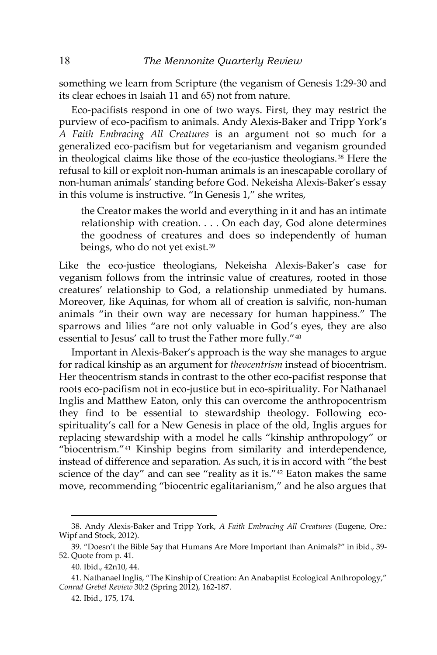something we learn from Scripture (the veganism of Genesis 1:29-30 and its clear echoes in Isaiah 11 and 65) not from nature.

Eco-pacifists respond in one of two ways. First, they may restrict the purview of eco-pacifism to animals. Andy Alexis-Baker and Tripp York's *A Faith Embracing All Creatures* is an argument not so much for a generalized eco-pacifism but for vegetarianism and veganism grounded in theological claims like those of the eco-justice theologians.[38](#page-11-0) Here the refusal to kill or exploit non-human animals is an inescapable corollary of non-human animals' standing before God. Nekeisha Alexis-Baker's essay in this volume is instructive. "In Genesis 1," she writes,

the Creator makes the world and everything in it and has an intimate relationship with creation. . . . On each day, God alone determines the goodness of creatures and does so independently of human beings, who do not yet exist.[39](#page-11-1)

Like the eco-justice theologians, Nekeisha Alexis-Baker's case for veganism follows from the intrinsic value of creatures, rooted in those creatures' relationship to God, a relationship unmediated by humans. Moreover, like Aquinas, for whom all of creation is salvific, non-human animals "in their own way are necessary for human happiness." The sparrows and lilies "are not only valuable in God's eyes, they are also essential to Jesus' call to trust the Father more fully."[40](#page-11-2)

Important in Alexis-Baker's approach is the way she manages to argue for radical kinship as an argument for *theocentrism* instead of biocentrism. Her theocentrism stands in contrast to the other eco-pacifist response that roots eco-pacifism not in eco-justice but in eco-spirituality. For Nathanael Inglis and Matthew Eaton, only this can overcome the anthropocentrism they find to be essential to stewardship theology. Following ecospirituality's call for a New Genesis in place of the old, Inglis argues for replacing stewardship with a model he calls "kinship anthropology" or "biocentrism."[41](#page-11-3) Kinship begins from similarity and interdependence, instead of difference and separation. As such, it is in accord with "the best science of the day" and can see "reality as it is."[42](#page-11-4) Eaton makes the same move, recommending "biocentric egalitarianism," and he also argues that

<span id="page-11-0"></span><sup>38.</sup> Andy Alexis-Baker and Tripp York, *A Faith Embracing All Creatures* (Eugene, Ore.: Wipf and Stock, 2012).

<span id="page-11-1"></span><sup>39. &</sup>quot;Doesn't the Bible Say that Humans Are More Important than Animals?" in ibid., 39- 52. Quote from p. 41.

<sup>40.</sup> Ibid., 42n10, 44.

<span id="page-11-4"></span><span id="page-11-3"></span><span id="page-11-2"></span><sup>41.</sup> Nathanael Inglis, "The Kinship of Creation: An Anabaptist Ecological Anthropology," *Conrad Grebel Review* 30:2 (Spring 2012), 162-187.

<sup>42.</sup> Ibid., 175, 174.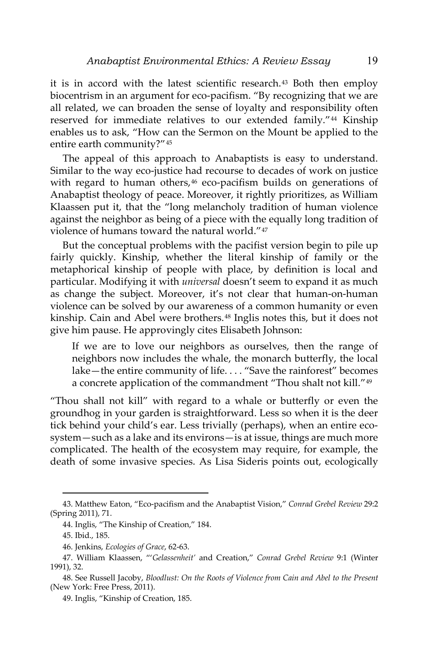it is in accord with the latest scientific research.[43](#page-12-0) Both then employ biocentrism in an argument for eco-pacifism. "By recognizing that we are all related, we can broaden the sense of loyalty and responsibility often reserved for immediate relatives to our extended family."[44](#page-12-1) Kinship enables us to ask, "How can the Sermon on the Mount be applied to the entire earth community?"[45](#page-12-2)

The appeal of this approach to Anabaptists is easy to understand. Similar to the way eco-justice had recourse to decades of work on justice with regard to human others,<sup>[46](#page-12-3)</sup> eco-pacifism builds on generations of Anabaptist theology of peace. Moreover, it rightly prioritizes, as William Klaassen put it, that the "long melancholy tradition of human violence against the neighbor as being of a piece with the equally long tradition of violence of humans toward the natural world."[47](#page-12-4)

But the conceptual problems with the pacifist version begin to pile up fairly quickly. Kinship, whether the literal kinship of family or the metaphorical kinship of people with place, by definition is local and particular. Modifying it with *universal* doesn't seem to expand it as much as change the subject. Moreover, it's not clear that human-on-human violence can be solved by our awareness of a common humanity or even kinship. Cain and Abel were brothers.[48](#page-12-5) Inglis notes this, but it does not give him pause. He approvingly cites Elisabeth Johnson:

If we are to love our neighbors as ourselves, then the range of neighbors now includes the whale, the monarch butterfly, the local lake—the entire community of life. . . . "Save the rainforest" becomes a concrete application of the commandment "Thou shalt not kill."[49](#page-12-6)

"Thou shall not kill" with regard to a whale or butterfly or even the groundhog in your garden is straightforward. Less so when it is the deer tick behind your child's ear. Less trivially (perhaps), when an entire ecosystem—such as a lake and its environs—is at issue, things are much more complicated. The health of the ecosystem may require, for example, the death of some invasive species. As Lisa Sideris points out, ecologically

<span id="page-12-1"></span><span id="page-12-0"></span><sup>43.</sup> Matthew Eaton, "Eco-pacifism and the Anabaptist Vision," *Conrad Grebel Review* 29:2 (Spring 2011), 71.

<sup>44.</sup> Inglis, "The Kinship of Creation," 184.

<sup>45.</sup> Ibid., 185.

<sup>46.</sup> Jenkins, *Ecologies of Grace*, 62-63.

<span id="page-12-4"></span><span id="page-12-3"></span><span id="page-12-2"></span><sup>47.</sup> William Klaassen, "'*Gelassenheit'* and Creation," *Conrad Grebel Review* 9:1 (Winter 1991), 32.

<span id="page-12-6"></span><span id="page-12-5"></span><sup>48.</sup> See Russell Jacoby, *Bloodlust: On the Roots of Violence from Cain and Abel to the Present* (New York: Free Press, 2011).

<sup>49.</sup> Inglis, "Kinship of Creation, 185.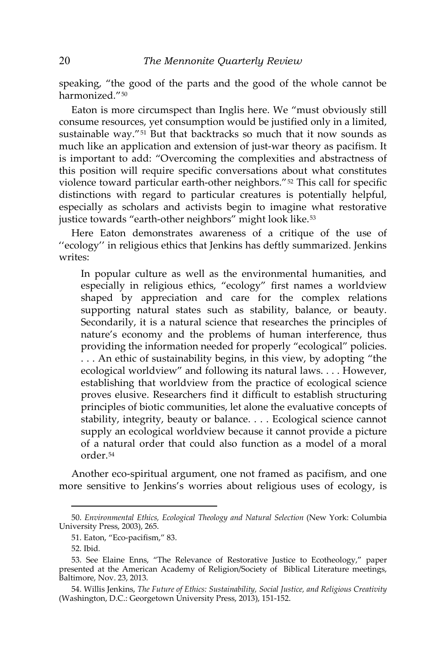speaking, "the good of the parts and the good of the whole cannot be harmonized."[50](#page-13-0)

Eaton is more circumspect than Inglis here. We "must obviously still consume resources, yet consumption would be justified only in a limited, sustainable way."[51](#page-13-1) But that backtracks so much that it now sounds as much like an application and extension of just-war theory as pacifism. It is important to add: "Overcoming the complexities and abstractness of this position will require specific conversations about what constitutes violence toward particular earth-other neighbors."[52](#page-13-2) This call for specific distinctions with regard to particular creatures is potentially helpful, especially as scholars and activists begin to imagine what restorative justice towards "earth-other neighbors" might look like.<sup>[53](#page-13-3)</sup>

Here Eaton demonstrates awareness of a critique of the use of ''ecology'' in religious ethics that Jenkins has deftly summarized. Jenkins writes:

In popular culture as well as the environmental humanities, and especially in religious ethics, "ecology" first names a worldview shaped by appreciation and care for the complex relations supporting natural states such as stability, balance, or beauty. Secondarily, it is a natural science that researches the principles of nature's economy and the problems of human interference, thus providing the information needed for properly "ecological" policies. . . . An ethic of sustainability begins, in this view, by adopting "the ecological worldview" and following its natural laws. . . . However, establishing that worldview from the practice of ecological science proves elusive. Researchers find it difficult to establish structuring principles of biotic communities, let alone the evaluative concepts of stability, integrity, beauty or balance. . . . Ecological science cannot supply an ecological worldview because it cannot provide a picture of a natural order that could also function as a model of a moral order.[54](#page-13-4)

Another eco-spiritual argument, one not framed as pacifism, and one more sensitive to Jenkins's worries about religious uses of ecology, is

<span id="page-13-1"></span><span id="page-13-0"></span><sup>50.</sup> *Environmental Ethics, Ecological Theology and Natural Selection* (New York: Columbia University Press, 2003), 265.

<sup>51.</sup> Eaton, "Eco-pacifism," 83.

<sup>52.</sup> Ibid.

<span id="page-13-3"></span><span id="page-13-2"></span><sup>53.</sup> See Elaine Enns, "The Relevance of Restorative Justice to Ecotheology," paper presented at the American Academy of Religion/Society of Biblical Literature meetings, Baltimore, Nov. 23, 2013.

<span id="page-13-4"></span><sup>54.</sup> Willis Jenkins, *The Future of Ethics: Sustainability, Social Justice, and Religious Creativity* (Washington, D.C.: Georgetown University Press, 2013), 151-152.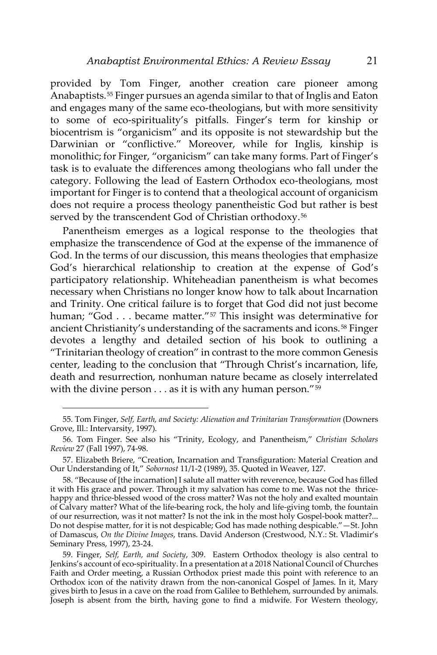provided by Tom Finger, another creation care pioneer among Anabaptists.[55](#page-14-0) Finger pursues an agenda similar to that of Inglis and Eaton and engages many of the same eco-theologians, but with more sensitivity to some of eco-spirituality's pitfalls. Finger's term for kinship or biocentrism is "organicism" and its opposite is not stewardship but the Darwinian or "conflictive." Moreover, while for Inglis, kinship is monolithic; for Finger, "organicism" can take many forms. Part of Finger's task is to evaluate the differences among theologians who fall under the category. Following the lead of Eastern Orthodox eco-theologians, most important for Finger is to contend that a theological account of organicism does not require a process theology panentheistic God but rather is best served by the transcendent God of Christian orthodoxy.<sup>[56](#page-14-1)</sup>

Panentheism emerges as a logical response to the theologies that emphasize the transcendence of God at the expense of the immanence of God. In the terms of our discussion, this means theologies that emphasize God's hierarchical relationship to creation at the expense of God's participatory relationship. Whiteheadian panentheism is what becomes necessary when Christians no longer know how to talk about Incarnation and Trinity. One critical failure is to forget that God did not just become human; "God . . . became matter."<sup>[57](#page-14-2)</sup> This insight was determinative for ancient Christianity's understanding of the sacraments and icons.<sup>[58](#page-14-3)</sup> Finger devotes a lengthy and detailed section of his book to outlining a "Trinitarian theology of creation" in contrast to the more common Genesis center, leading to the conclusion that "Through Christ's incarnation, life, death and resurrection, nonhuman nature became as closely interrelated with the divine person  $\dots$  as it is with any human person."<sup>[59](#page-14-4)</sup>

<span id="page-14-0"></span><sup>55.</sup> Tom Finger, *Self, Earth, and Society: Alienation and Trinitarian Transformation* (Downers Grove, Ill.: Intervarsity, 1997).

<span id="page-14-1"></span><sup>56.</sup> Tom Finger. See also his "Trinity, Ecology, and Panentheism," *Christian Scholars Review* 27 (Fall 1997), 74-98.

<span id="page-14-2"></span><sup>57.</sup> Elizabeth Briere, "Creation, Incarnation and Transfiguration: Material Creation and Our Understanding of It," *Sobornost* 11/1-2 (1989), 35. Quoted in Weaver, 127.

<span id="page-14-3"></span><sup>58. &</sup>quot;Because of [the incarnation] I salute all matter with reverence, because God has filled it with His grace and power. Through it my salvation has come to me. Was not the thricehappy and thrice-blessed wood of the cross matter? Was not the holy and exalted mountain of Calvary matter? What of the life-bearing rock, the holy and life-giving tomb, the fountain of our resurrection, was it not matter? Is not the ink in the most holy Gospel-book matter?... Do not despise matter, for it is not despicable; God has made nothing despicable."—St. John of Damascus, *On the Divine Images*, trans. David Anderson (Crestwood, N.Y.: St. Vladimir's Seminary Press, 1997), 23-24.

<span id="page-14-4"></span><sup>59.</sup> Finger, *Self, Earth, and Society*, 309. Eastern Orthodox theology is also central to Jenkins's account of eco-spirituality. In a presentation at a 2018 National Council of Churches Faith and Order meeting, a Russian Orthodox priest made this point with reference to an Orthodox icon of the nativity drawn from the non-canonical Gospel of James. In it, Mary gives birth to Jesus in a cave on the road from Galilee to Bethlehem, surrounded by animals. Joseph is absent from the birth, having gone to find a midwife. For Western theology,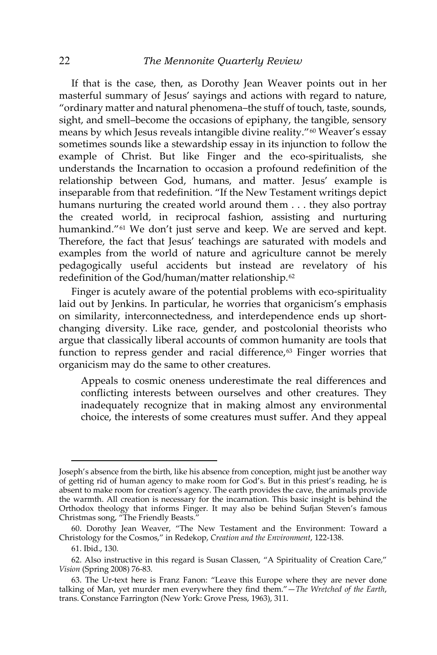If that is the case, then, as Dorothy Jean Weaver points out in her masterful summary of Jesus' sayings and actions with regard to nature, "ordinary matter and natural phenomena–the stuff of touch, taste, sounds, sight, and smell–become the occasions of epiphany, the tangible, sensory means by which Jesus reveals intangible divine reality."[60](#page-15-0) Weaver's essay sometimes sounds like a stewardship essay in its injunction to follow the example of Christ. But like Finger and the eco-spiritualists, she understands the Incarnation to occasion a profound redefinition of the relationship between God, humans, and matter. Jesus' example is inseparable from that redefinition. "If the New Testament writings depict humans nurturing the created world around them . . . they also portray the created world, in reciprocal fashion, assisting and nurturing humankind."<sup>[61](#page-15-1)</sup> We don't just serve and keep. We are served and kept. Therefore, the fact that Jesus' teachings are saturated with models and examples from the world of nature and agriculture cannot be merely pedagogically useful accidents but instead are revelatory of his redefinition of the God/human/matter relationship.[62](#page-15-2)

Finger is acutely aware of the potential problems with eco-spirituality laid out by Jenkins. In particular, he worries that organicism's emphasis on similarity, interconnectedness, and interdependence ends up shortchanging diversity. Like race, gender, and postcolonial theorists who argue that classically liberal accounts of common humanity are tools that function to repress gender and racial difference, $63$  Finger worries that organicism may do the same to other creatures.

Appeals to cosmic oneness underestimate the real differences and conflicting interests between ourselves and other creatures. They inadequately recognize that in making almost any environmental choice, the interests of some creatures must suffer. And they appeal

Joseph's absence from the birth, like his absence from conception, might just be another way of getting rid of human agency to make room for God's. But in this priest's reading, he is absent to make room for creation's agency. The earth provides the cave, the animals provide the warmth. All creation is necessary for the incarnation. This basic insight is behind the Orthodox theology that informs Finger. It may also be behind Sufjan Steven's famous Christmas song, "The Friendly Beasts."

<span id="page-15-0"></span><sup>60.</sup> Dorothy Jean Weaver, "The New Testament and the Environment: Toward a Christology for the Cosmos," in Redekop, *Creation and the Environment*, 122-138.

<sup>61.</sup> Ibid., 130.

<span id="page-15-2"></span><span id="page-15-1"></span><sup>62.</sup> Also instructive in this regard is Susan Classen, "A Spirituality of Creation Care," *Vision* (Spring 2008) 76-83.

<span id="page-15-3"></span><sup>63.</sup> The Ur-text here is Franz Fanon: "Leave this Europe where they are never done talking of Man, yet murder men everywhere they find them."—*The Wretched of the Earth*, trans. Constance Farrington (New York: Grove Press, 1963), 311.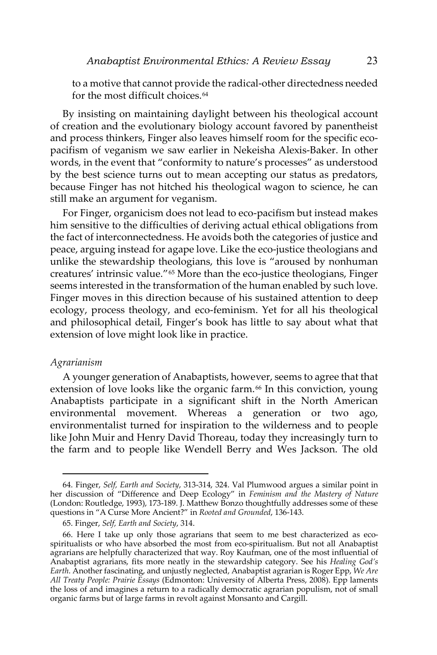to a motive that cannot provide the radical-other directedness needed for the most difficult choices.<sup>[64](#page-16-0)</sup>

By insisting on maintaining daylight between his theological account of creation and the evolutionary biology account favored by panentheist and process thinkers, Finger also leaves himself room for the specific ecopacifism of veganism we saw earlier in Nekeisha Alexis-Baker. In other words, in the event that "conformity to nature's processes" as understood by the best science turns out to mean accepting our status as predators, because Finger has not hitched his theological wagon to science, he can still make an argument for veganism.

For Finger, organicism does not lead to eco-pacifism but instead makes him sensitive to the difficulties of deriving actual ethical obligations from the fact of interconnectedness. He avoids both the categories of justice and peace, arguing instead for agape love. Like the eco-justice theologians and unlike the stewardship theologians, this love is "aroused by nonhuman creatures' intrinsic value."[65](#page-16-1) More than the eco-justice theologians, Finger seems interested in the transformation of the human enabled by such love. Finger moves in this direction because of his sustained attention to deep ecology, process theology, and eco-feminism. Yet for all his theological and philosophical detail, Finger's book has little to say about what that extension of love might look like in practice.

#### *Agrarianism*

 $\overline{a}$ 

A younger generation of Anabaptists, however, seems to agree that that extension of love looks like the organic farm.<sup>[66](#page-16-2)</sup> In this conviction, young Anabaptists participate in a significant shift in the North American environmental movement. Whereas a generation or two ago, environmentalist turned for inspiration to the wilderness and to people like John Muir and Henry David Thoreau, today they increasingly turn to the farm and to people like Wendell Berry and Wes Jackson. The old

<span id="page-16-0"></span><sup>64.</sup> Finger, *Self, Earth and Society*, 313-314, 324. Val Plumwood argues a similar point in her discussion of "Difference and Deep Ecology" in *Feminism and the Mastery of Nature*  (London: Routledge, 1993), 173-189. J. Matthew Bonzo thoughtfully addresses some of these questions in "A Curse More Ancient?" in *Rooted and Grounded*, 136-143.

<sup>65.</sup> Finger, *Self, Earth and Society*, 314.

<span id="page-16-2"></span><span id="page-16-1"></span><sup>66.</sup> Here I take up only those agrarians that seem to me best characterized as ecospiritualists or who have absorbed the most from eco-spiritualism. But not all Anabaptist agrarians are helpfully characterized that way. Roy Kaufman, one of the most influential of Anabaptist agrarians, fits more neatly in the stewardship category. See his *Healing God's Earth*. Another fascinating, and unjustly neglected, Anabaptist agrarian is Roger Epp, *We Are All Treaty People: Prairie Essays* (Edmonton: University of Alberta Press, 2008). Epp laments the loss of and imagines a return to a radically democratic agrarian populism, not of small organic farms but of large farms in revolt against Monsanto and Cargill.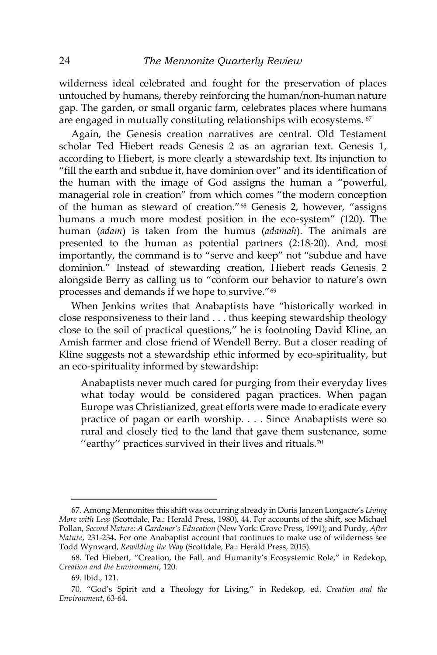wilderness ideal celebrated and fought for the preservation of places untouched by humans, thereby reinforcing the human/non-human nature gap. The garden, or small organic farm, celebrates places where humans are engaged in mutually constituting relationships with ecosystems. <sup>[67](#page-17-0)</sup>

Again, the Genesis creation narratives are central. Old Testament scholar Ted Hiebert reads Genesis 2 as an agrarian text. Genesis 1, according to Hiebert, is more clearly a stewardship text. Its injunction to "fill the earth and subdue it, have dominion over" and its identification of the human with the image of God assigns the human a "powerful, managerial role in creation" from which comes "the modern conception of the human as steward of creation."[68](#page-17-1) Genesis 2, however, "assigns humans a much more modest position in the eco-system" (120). The human (*adam*) is taken from the humus (*adamah*). The animals are presented to the human as potential partners (2:18-20). And, most importantly, the command is to "serve and keep" not "subdue and have dominion." Instead of stewarding creation, Hiebert reads Genesis 2 alongside Berry as calling us to "conform our behavior to nature's own processes and demands if we hope to survive."[69](#page-17-2)

When Jenkins writes that Anabaptists have "historically worked in close responsiveness to their land . . . thus keeping stewardship theology close to the soil of practical questions," he is footnoting David Kline, an Amish farmer and close friend of Wendell Berry. But a closer reading of Kline suggests not a stewardship ethic informed by eco-spirituality, but an eco-spirituality informed by stewardship:

Anabaptists never much cared for purging from their everyday lives what today would be considered pagan practices. When pagan Europe was Christianized, great efforts were made to eradicate every practice of pagan or earth worship. . . . Since Anabaptists were so rural and closely tied to the land that gave them sustenance, some "earthy" practices survived in their lives and rituals.<sup>[70](#page-17-3)</sup>

<span id="page-17-0"></span><sup>67.</sup> Among Mennonites this shift was occurring already in Doris Janzen Longacre's *Living More with Less* (Scottdale, Pa.: Herald Press, 1980), 44. For accounts of the shift, see Michael Pollan, *Second Nature: A Gardener's Education* (New York: Grove Press, 1991); and Purdy, *After Nature*, 231-234**.** For one Anabaptist account that continues to make use of wilderness see Todd Wynward, *Rewilding the Way* (Scottdale, Pa.: Herald Press, 2015).

<span id="page-17-1"></span><sup>68.</sup> Ted Hiebert, "Creation, the Fall, and Humanity's Ecosystemic Role," in Redekop, *Creation and the Environment*, 120.

<sup>69.</sup> Ibid., 121.

<span id="page-17-3"></span><span id="page-17-2"></span><sup>70. &</sup>quot;God's Spirit and a Theology for Living," in Redekop, ed. *Creation and the Environment*, 63-64.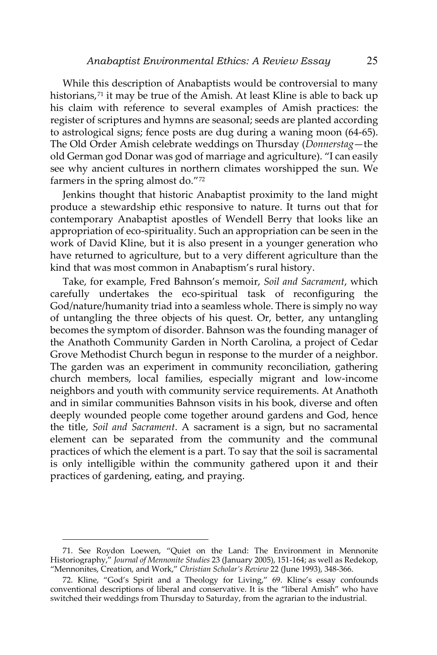While this description of Anabaptists would be controversial to many historians,<sup>[71](#page-18-0)</sup> it may be true of the Amish. At least Kline is able to back up his claim with reference to several examples of Amish practices: the register of scriptures and hymns are seasonal; seeds are planted according to astrological signs; fence posts are dug during a waning moon (64-65). The Old Order Amish celebrate weddings on Thursday (*Donnerstag*—the old German god Donar was god of marriage and agriculture). "I can easily see why ancient cultures in northern climates worshipped the sun. We farmers in the spring almost do."[72](#page-18-1)

Jenkins thought that historic Anabaptist proximity to the land might produce a stewardship ethic responsive to nature. It turns out that for contemporary Anabaptist apostles of Wendell Berry that looks like an appropriation of eco-spirituality. Such an appropriation can be seen in the work of David Kline, but it is also present in a younger generation who have returned to agriculture, but to a very different agriculture than the kind that was most common in Anabaptism's rural history.

Take, for example, Fred Bahnson's memoir, *Soil and Sacrament*, which carefully undertakes the eco-spiritual task of reconfiguring the God/nature/humanity triad into a seamless whole. There is simply no way of untangling the three objects of his quest. Or, better, any untangling becomes the symptom of disorder. Bahnson was the founding manager of the Anathoth Community Garden in North Carolina, a project of Cedar Grove Methodist Church begun in response to the murder of a neighbor. The garden was an experiment in community reconciliation, gathering church members, local families, especially migrant and low-income neighbors and youth with community service requirements. At Anathoth and in similar communities Bahnson visits in his book, diverse and often deeply wounded people come together around gardens and God, hence the title, *Soil and Sacrament*. A sacrament is a sign, but no sacramental element can be separated from the community and the communal practices of which the element is a part. To say that the soil is sacramental is only intelligible within the community gathered upon it and their practices of gardening, eating, and praying.

<span id="page-18-0"></span><sup>71.</sup> See Roydon Loewen, "Quiet on the Land: The Environment in Mennonite Historiography," *Journal of Mennonite Studies* 23 (January 2005), 151-164; as well as Redekop, "Mennonites, Creation, and Work," *Christian Scholar's Review* 22 (June 1993), 348-366.

<span id="page-18-1"></span><sup>72.</sup> Kline, "God's Spirit and a Theology for Living," 69. Kline's essay confounds conventional descriptions of liberal and conservative. It is the "liberal Amish" who have switched their weddings from Thursday to Saturday, from the agrarian to the industrial.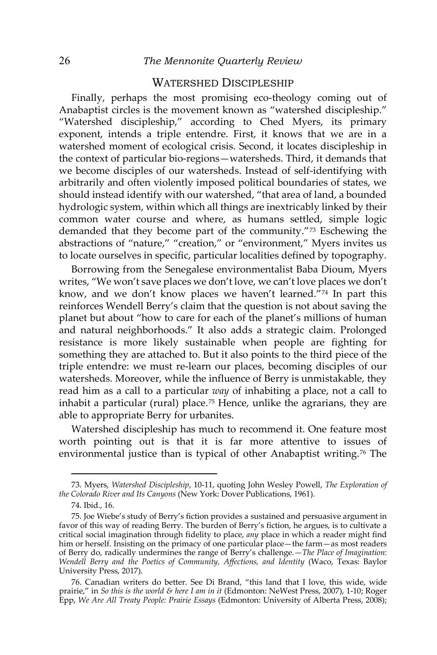### WATERSHED DISCIPLESHIP

Finally, perhaps the most promising eco-theology coming out of Anabaptist circles is the movement known as "watershed discipleship." "Watershed discipleship," according to Ched Myers, its primary exponent, intends a triple entendre. First, it knows that we are in a watershed moment of ecological crisis. Second, it locates discipleship in the context of particular bio-regions—watersheds. Third, it demands that we become disciples of our watersheds. Instead of self-identifying with arbitrarily and often violently imposed political boundaries of states, we should instead identify with our watershed, "that area of land, a bounded hydrologic system, within which all things are inextricably linked by their common water course and where, as humans settled, simple logic demanded that they become part of the community."[73](#page-19-0) Eschewing the abstractions of "nature," "creation," or "environment," Myers invites us to locate ourselves in specific, particular localities defined by topography.

Borrowing from the Senegalese environmentalist Baba Dioum, Myers writes, "We won't save places we don't love, we can't love places we don't know, and we don't know places we haven't learned. $\frac{n}{74}$  $\frac{n}{74}$  $\frac{n}{74}$  In part this reinforces Wendell Berry's claim that the question is not about saving the planet but about "how to care for each of the planet's millions of human and natural neighborhoods." It also adds a strategic claim. Prolonged resistance is more likely sustainable when people are fighting for something they are attached to. But it also points to the third piece of the triple entendre: we must re-learn our places, becoming disciples of our watersheds. Moreover, while the influence of Berry is unmistakable, they read him as a call to a particular *way* of inhabiting a place, not a call to inhabit a particular (rural) place.<sup>[75](#page-19-2)</sup> Hence, unlike the agrarians, they are able to appropriate Berry for urbanites.

Watershed discipleship has much to recommend it. One feature most worth pointing out is that it is far more attentive to issues of environmental justice than is typical of other Anabaptist writing.<sup>[76](#page-19-3)</sup> The

<span id="page-19-0"></span><sup>73.</sup> Myers, *Watershed Discipleship*, 10-11, quoting John Wesley Powell, *The Exploration of the Colorado River and Its Canyons* (New York: Dover Publications, 1961).

<sup>74.</sup> Ibid., 16.

<span id="page-19-2"></span><span id="page-19-1"></span><sup>75.</sup> Joe Wiebe's study of Berry's fiction provides a sustained and persuasive argument in favor of this way of reading Berry. The burden of Berry's fiction, he argues, is to cultivate a critical social imagination through fidelity to place, *any* place in which a reader might find him or herself. Insisting on the primacy of one particular place—the farm—as most readers of Berry do, radically undermines the range of Berry's challenge.—*The Place of Imagination: Wendell Berry and the Poetics of Community, Affections, and Identity* (Waco, Texas: Baylor University Press, 2017).

<span id="page-19-3"></span><sup>76.</sup> Canadian writers do better. See Di Brand, "this land that I love, this wide, wide prairie," in *So this is the world & here I am in it* (Edmonton: NeWest Press, 2007), 1-10; Roger Epp, *We Are All Treaty People: Prairie Essays* (Edmonton: University of Alberta Press, 2008);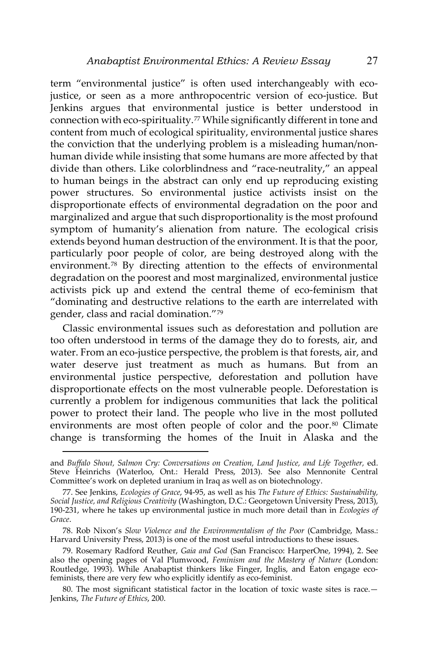term "environmental justice" is often used interchangeably with ecojustice, or seen as a more anthropocentric version of eco-justice. But Jenkins argues that environmental justice is better understood in connection with eco-spirituality.<sup>[77](#page-20-0)</sup> While significantly different in tone and content from much of ecological spirituality, environmental justice shares the conviction that the underlying problem is a misleading human/nonhuman divide while insisting that some humans are more affected by that divide than others. Like colorblindness and "race-neutrality," an appeal to human beings in the abstract can only end up reproducing existing power structures. So environmental justice activists insist on the disproportionate effects of environmental degradation on the poor and marginalized and argue that such disproportionality is the most profound symptom of humanity's alienation from nature. The ecological crisis extends beyond human destruction of the environment. It is that the poor, particularly poor people of color, are being destroyed along with the environment.[78](#page-20-1) By directing attention to the effects of environmental degradation on the poorest and most marginalized, environmental justice activists pick up and extend the central theme of eco-feminism that "dominating and destructive relations to the earth are interrelated with gender, class and racial domination."[79](#page-20-2)

Classic environmental issues such as deforestation and pollution are too often understood in terms of the damage they do to forests, air, and water. From an eco-justice perspective, the problem is that forests, air, and water deserve just treatment as much as humans. But from an environmental justice perspective, deforestation and pollution have disproportionate effects on the most vulnerable people. Deforestation is currently a problem for indigenous communities that lack the political power to protect their land. The people who live in the most polluted environments are most often people of color and the poor.<sup>[80](#page-20-3)</sup> Climate change is transforming the homes of the Inuit in Alaska and the

and Buffalo Shout, Salmon Cry: Conversations on Creation, Land Justice, and Life Together, ed. Steve Heinrichs (Waterloo, Ont.: Herald Press, 2013). See also Mennonite Central Committee's work on depleted uranium in Iraq as well as on biotechnology.

<span id="page-20-0"></span><sup>77.</sup> See Jenkins, *Ecologies of Grace*, 94-95, as well as his *The Future of Ethics: Sustainability, Social Justice, and Religious Creativity* (Washington, D.C.: Georgetown University Press, 2013), 190-231, where he takes up environmental justice in much more detail than in *Ecologies of Grace*.

<span id="page-20-1"></span><sup>78.</sup> Rob Nixon's *Slow Violence and the Environmentalism of the Poor* (Cambridge, Mass.: Harvard University Press, 2013) is one of the most useful introductions to these issues.

<span id="page-20-2"></span><sup>79.</sup> Rosemary Radford Reuther, *Gaia and God* (San Francisco: HarperOne, 1994), 2. See also the opening pages of Val Plumwood, *Feminism and the Mastery of Nature* (London: Routledge, 1993). While Anabaptist thinkers like Finger, Inglis, and Eaton engage ecofeminists, there are very few who explicitly identify as eco-feminist.

<span id="page-20-3"></span><sup>80.</sup> The most significant statistical factor in the location of toxic waste sites is race.— Jenkins, *The Future of Ethics*, 200.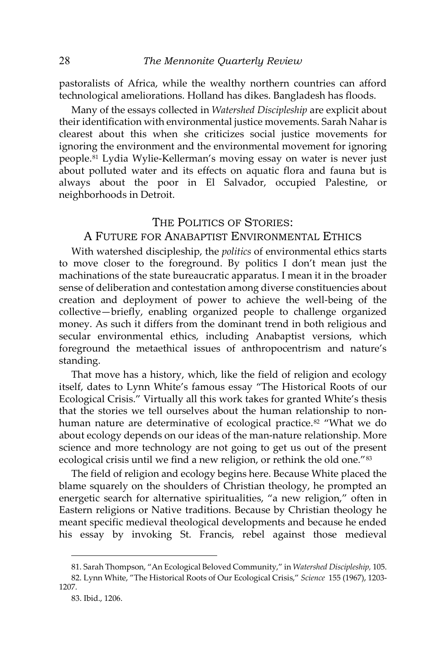pastoralists of Africa, while the wealthy northern countries can afford technological ameliorations. Holland has dikes. Bangladesh has floods.

Many of the essays collected in *Watershed Discipleship* are explicit about their identification with environmental justice movements. Sarah Nahar is clearest about this when she criticizes social justice movements for ignoring the environment and the environmental movement for ignoring people.[81](#page-21-0) Lydia Wylie-Kellerman's moving essay on water is never just about polluted water and its effects on aquatic flora and fauna but is always about the poor in El Salvador, occupied Palestine, or neighborhoods in Detroit.

#### THE POLITICS OF STORIES:

## A FUTURE FOR ANABAPTIST ENVIRONMENTAL ETHICS

With watershed discipleship, the *politics* of environmental ethics starts to move closer to the foreground. By politics I don't mean just the machinations of the state bureaucratic apparatus. I mean it in the broader sense of deliberation and contestation among diverse constituencies about creation and deployment of power to achieve the well-being of the collective—briefly, enabling organized people to challenge organized money. As such it differs from the dominant trend in both religious and secular environmental ethics, including Anabaptist versions, which foreground the metaethical issues of anthropocentrism and nature's standing.

That move has a history, which, like the field of religion and ecology itself, dates to Lynn White's famous essay "The Historical Roots of our Ecological Crisis." Virtually all this work takes for granted White's thesis that the stories we tell ourselves about the human relationship to non-human nature are determinative of ecological practice.<sup>[82](#page-21-1)</sup> "What we do about ecology depends on our ideas of the man-nature relationship. More science and more technology are not going to get us out of the present ecological crisis until we find a new religion, or rethink the old one."<sup>[83](#page-21-2)</sup>

The field of religion and ecology begins here. Because White placed the blame squarely on the shoulders of Christian theology, he prompted an energetic search for alternative spiritualities, "a new religion," often in Eastern religions or Native traditions. Because by Christian theology he meant specific medieval theological developments and because he ended his essay by invoking St. Francis, rebel against those medieval

<sup>81.</sup> Sarah Thompson, "An Ecological Beloved Community," in *Watershed Discipleship,* 105.

<span id="page-21-2"></span><span id="page-21-1"></span><span id="page-21-0"></span><sup>82.</sup> Lynn White, "The Historical Roots of Our Ecological Crisis," *Science* 155 (1967), 1203- 1207.

<sup>83.</sup> Ibid., 1206.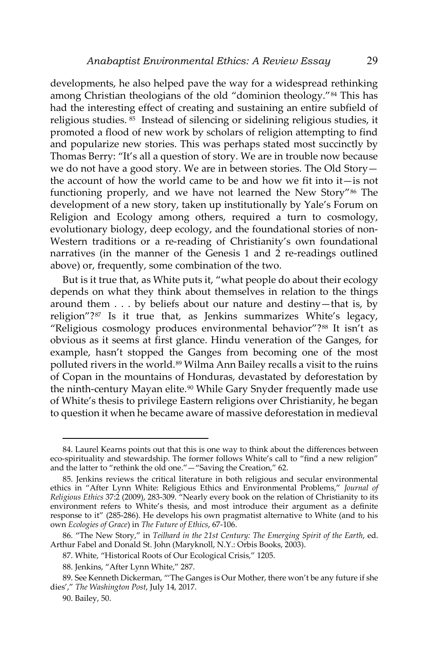developments, he also helped pave the way for a widespread rethinking among Christian theologians of the old "dominion theology."[84](#page-22-0) This has had the interesting effect of creating and sustaining an entire subfield of religious studies. [85](#page-22-1) Instead of silencing or sidelining religious studies, it promoted a flood of new work by scholars of religion attempting to find and popularize new stories. This was perhaps stated most succinctly by Thomas Berry: "It's all a question of story. We are in trouble now because we do not have a good story. We are in between stories. The Old Story the account of how the world came to be and how we fit into it—is not functioning properly, and we have not learned the New Story"<sup>[86](#page-22-2)</sup> The development of a new story, taken up institutionally by Yale's Forum on Religion and Ecology among others, required a turn to cosmology, evolutionary biology, deep ecology, and the foundational stories of non-Western traditions or a re-reading of Christianity's own foundational narratives (in the manner of the Genesis 1 and 2 re-readings outlined above) or, frequently, some combination of the two.

But is it true that, as White puts it, "what people do about their ecology depends on what they think about themselves in relation to the things around them . . . by beliefs about our nature and destiny—that is, by religion"?[87](#page-22-3) Is it true that, as Jenkins summarizes White's legacy, "Religious cosmology produces environmental behavior"?<sup>[88](#page-22-4)</sup> It isn't as obvious as it seems at first glance. Hindu veneration of the Ganges, for example, hasn't stopped the Ganges from becoming one of the most polluted rivers in the world.[89](#page-22-5) Wilma Ann Bailey recalls a visit to the ruins of Copan in the mountains of Honduras, devastated by deforestation by the ninth-century Mayan elite.<sup>[90](#page-22-6)</sup> While Gary Snyder frequently made use of White's thesis to privilege Eastern religions over Christianity, he began to question it when he became aware of massive deforestation in medieval

<span id="page-22-0"></span><sup>84.</sup> Laurel Kearns points out that this is one way to think about the differences between eco-spirituality and stewardship. The former follows White's call to "find a new religion" and the latter to "rethink the old one."—"Saving the Creation," 62.

<span id="page-22-1"></span><sup>85.</sup> Jenkins reviews the critical literature in both religious and secular environmental ethics in "After Lynn White: Religious Ethics and Environmental Problems," *Journal of Religious Ethics* 37:2 (2009), 283-309. "Nearly every book on the relation of Christianity to its environment refers to White's thesis, and most introduce their argument as a definite response to it" (285-286). He develops his own pragmatist alternative to White (and to his own *Ecologies of Grace*) in *The Future of Ethics*, 67-106.

<span id="page-22-2"></span><sup>86. &</sup>quot;The New Story," in *Teilhard in the 21st Century: The Emerging Spirit of the Earth*, ed. Arthur Fabel and Donald St. John (Maryknoll, N.Y.: Orbis Books, 2003).

<sup>87.</sup> White, "Historical Roots of Our Ecological Crisis," 1205.

<sup>88.</sup> Jenkins, "After Lynn White," 287.

<span id="page-22-6"></span><span id="page-22-5"></span><span id="page-22-4"></span><span id="page-22-3"></span><sup>89.</sup> See Kenneth Dickerman, "'The Ganges is Our Mother, there won't be any future if she dies'," *The Washington Post*, July 14, 2017.

<sup>90.</sup> Bailey, 50.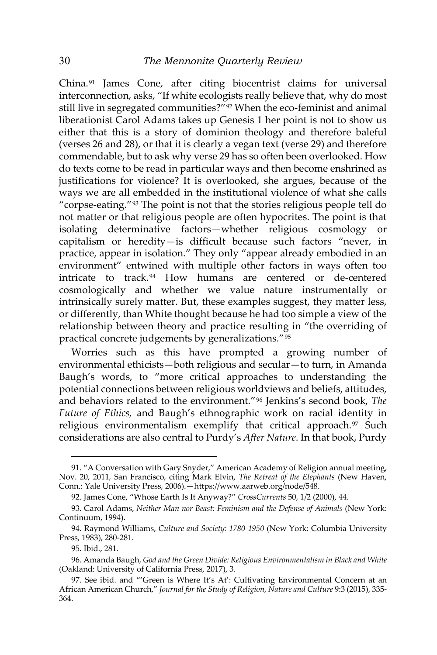China.[91](#page-23-0) James Cone, after citing biocentrist claims for universal interconnection, asks, "If white ecologists really believe that, why do most still live in segregated communities?"<sup>[92](#page-23-1)</sup> When the eco-feminist and animal liberationist Carol Adams takes up Genesis 1 her point is not to show us either that this is a story of dominion theology and therefore baleful (verses 26 and 28), or that it is clearly a vegan text (verse 29) and therefore commendable, but to ask why verse 29 has so often been overlooked. How do texts come to be read in particular ways and then become enshrined as justifications for violence? It is overlooked, she argues, because of the ways we are all embedded in the institutional violence of what she calls "corpse-eating."[93](#page-23-2) The point is not that the stories religious people tell do not matter or that religious people are often hypocrites. The point is that isolating determinative factors—whether religious cosmology or capitalism or heredity—is difficult because such factors "never, in practice, appear in isolation." They only "appear already embodied in an environment" entwined with multiple other factors in ways often too intricate to track.[94](#page-23-3) How humans are centered or de-centered cosmologically and whether we value nature instrumentally or intrinsically surely matter. But, these examples suggest, they matter less, or differently, than White thought because he had too simple a view of the relationship between theory and practice resulting in "the overriding of practical concrete judgements by generalizations."[95](#page-23-4)

Worries such as this have prompted a growing number of environmental ethicists—both religious and secular—to turn, in Amanda Baugh's words, to "more critical approaches to understanding the potential connections between religious worldviews and beliefs, attitudes, and behaviors related to the environment."[96](#page-23-5) Jenkins's second book, *The Future of Ethics,* and Baugh's ethnographic work on racial identity in religious environmentalism exemplify that critical approach.<sup>[97](#page-23-6)</sup> Such considerations are also central to Purdy's *After Nature*. In that book, Purdy

<span id="page-23-0"></span><sup>91. &</sup>quot;A Conversation with Gary Snyder," American Academy of Religion annual meeting, Nov. 20, 2011, San Francisco, citing Mark Elvin, *The Retreat of the Elephants* (New Haven, Conn.: Yale University Press, 2006).—https://www.aarweb.org/node/548.

<sup>92.</sup> James Cone, "Whose Earth Is It Anyway?" *CrossCurrents* 50, 1/2 (2000), 44.

<span id="page-23-2"></span><span id="page-23-1"></span><sup>93.</sup> Carol Adams, *Neither Man nor Beast: Feminism and the Defense of Animals* (New York: Continuum, 1994).

<span id="page-23-3"></span><sup>94.</sup> Raymond Williams, *Culture and Society: 1780-1950* (New York: Columbia University Press, 1983), 280-281.

<sup>95.</sup> Ibid., 281.

<span id="page-23-5"></span><span id="page-23-4"></span><sup>96.</sup> Amanda Baugh, *God and the Green Divide: Religious Environmentalism in Black and White* (Oakland: University of California Press, 2017), 3.

<span id="page-23-6"></span><sup>97.</sup> See ibid. and "'Green is Where It's At': Cultivating Environmental Concern at an African American Church," *Journal for the Study of Religion, Nature and Culture* 9:3 (2015), 335- 364.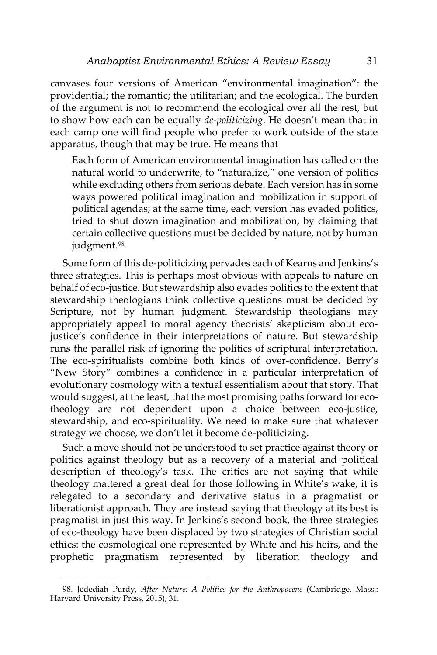canvases four versions of American "environmental imagination": the providential; the romantic; the utilitarian; and the ecological. The burden of the argument is not to recommend the ecological over all the rest, but to show how each can be equally *de-politicizing*. He doesn't mean that in each camp one will find people who prefer to work outside of the state apparatus, though that may be true. He means that

Each form of American environmental imagination has called on the natural world to underwrite, to "naturalize," one version of politics while excluding others from serious debate. Each version has in some ways powered political imagination and mobilization in support of political agendas; at the same time, each version has evaded politics, tried to shut down imagination and mobilization, by claiming that certain collective questions must be decided by nature, not by human judgment.<sup>[98](#page-24-0)</sup>

Some form of this de-politicizing pervades each of Kearns and Jenkins's three strategies. This is perhaps most obvious with appeals to nature on behalf of eco-justice. But stewardship also evades politics to the extent that stewardship theologians think collective questions must be decided by Scripture, not by human judgment. Stewardship theologians may appropriately appeal to moral agency theorists' skepticism about ecojustice's confidence in their interpretations of nature. But stewardship runs the parallel risk of ignoring the politics of scriptural interpretation. The eco-spiritualists combine both kinds of over-confidence. Berry's "New Story" combines a confidence in a particular interpretation of evolutionary cosmology with a textual essentialism about that story. That would suggest, at the least, that the most promising paths forward for ecotheology are not dependent upon a choice between eco-justice, stewardship, and eco-spirituality. We need to make sure that whatever strategy we choose, we don't let it become de-politicizing.

Such a move should not be understood to set practice against theory or politics against theology but as a recovery of a material and political description of theology's task. The critics are not saying that while theology mattered a great deal for those following in White's wake, it is relegated to a secondary and derivative status in a pragmatist or liberationist approach. They are instead saying that theology at its best is pragmatist in just this way. In Jenkins's second book, the three strategies of eco-theology have been displaced by two strategies of Christian social ethics: the cosmological one represented by White and his heirs, and the prophetic pragmatism represented by liberation theology and

<span id="page-24-0"></span><sup>98.</sup> Jedediah Purdy, *After Nature: A Politics for the Anthropocene* (Cambridge, Mass.: Harvard University Press, 2015), 31.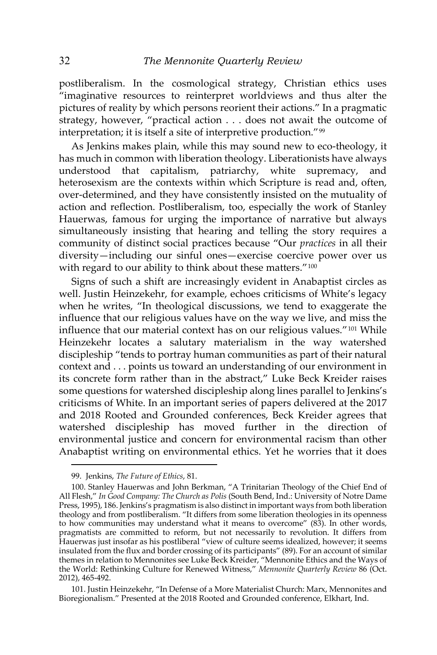postliberalism. In the cosmological strategy, Christian ethics uses "imaginative resources to reinterpret worldviews and thus alter the pictures of reality by which persons reorient their actions." In a pragmatic strategy, however, "practical action . . . does not await the outcome of interpretation; it is itself a site of interpretive production."[99](#page-25-0)

As Jenkins makes plain, while this may sound new to eco-theology, it has much in common with liberation theology. Liberationists have always understood that capitalism, patriarchy, white supremacy, and heterosexism are the contexts within which Scripture is read and, often, over-determined, and they have consistently insisted on the mutuality of action and reflection. Postliberalism, too, especially the work of Stanley Hauerwas, famous for urging the importance of narrative but always simultaneously insisting that hearing and telling the story requires a community of distinct social practices because "Our *practices* in all their diversity—including our sinful ones—exercise coercive power over us with regard to our ability to think about these matters."<sup>[100](#page-25-1)</sup>

Signs of such a shift are increasingly evident in Anabaptist circles as well. Justin Heinzekehr, for example, echoes criticisms of White's legacy when he writes, "In theological discussions, we tend to exaggerate the influence that our religious values have on the way we live, and miss the influence that our material context has on our religious values."[101](#page-25-2) While Heinzekehr locates a salutary materialism in the way watershed discipleship "tends to portray human communities as part of their natural context and . . . points us toward an understanding of our environment in its concrete form rather than in the abstract," Luke Beck Kreider raises some questions for watershed discipleship along lines parallel to Jenkins's criticisms of White. In an important series of papers delivered at the 2017 and 2018 Rooted and Grounded conferences, Beck Kreider agrees that watershed discipleship has moved further in the direction of environmental justice and concern for environmental racism than other Anabaptist writing on environmental ethics. Yet he worries that it does

 $\overline{\phantom{a}}$ 

<span id="page-25-2"></span>101. Justin Heinzekehr, "In Defense of a More Materialist Church: Marx, Mennonites and Bioregionalism." Presented at the 2018 Rooted and Grounded conference, Elkhart, Ind.

<sup>99.</sup> Jenkins, *The Future of Ethics*, 81.

<span id="page-25-1"></span><span id="page-25-0"></span><sup>100.</sup> Stanley Hauerwas and John Berkman, "A Trinitarian Theology of the Chief End of All Flesh," *In Good Company: The Church as Polis* (South Bend, Ind.: University of Notre Dame Press, 1995), 186. Jenkins's pragmatism is also distinct in important ways from both liberation theology and from postliberalism. "It differs from some liberation theologies in its openness to how communities may understand what it means to overcome" (83). In other words, pragmatists are committed to reform, but not necessarily to revolution. It differs from Hauerwas just insofar as his postliberal "view of culture seems idealized, however; it seems insulated from the flux and border crossing of its participants" (89). For an account of similar themes in relation to Mennonites see Luke Beck Kreider, "Mennonite Ethics and the Ways of the World: Rethinking Culture for Renewed Witness," *Mennonite Quarterly Review* 86 (Oct. 2012), 465-492.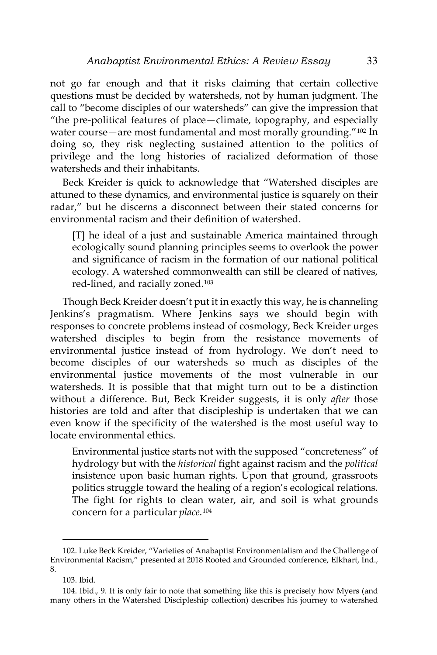not go far enough and that it risks claiming that certain collective questions must be decided by watersheds, not by human judgment. The call to "become disciples of our watersheds" can give the impression that "the pre-political features of place—climate, topography, and especially water course—are most fundamental and most morally grounding."<sup>[102](#page-26-0)</sup> In doing so, they risk neglecting sustained attention to the politics of privilege and the long histories of racialized deformation of those watersheds and their inhabitants.

Beck Kreider is quick to acknowledge that "Watershed disciples are attuned to these dynamics, and environmental justice is squarely on their radar," but he discerns a disconnect between their stated concerns for environmental racism and their definition of watershed.

[T] he ideal of a just and sustainable America maintained through ecologically sound planning principles seems to overlook the power and significance of racism in the formation of our national political ecology. A watershed commonwealth can still be cleared of natives, red-lined, and racially zoned.[103](#page-26-1)

Though Beck Kreider doesn't put it in exactly this way, he is channeling Jenkins's pragmatism. Where Jenkins says we should begin with responses to concrete problems instead of cosmology, Beck Kreider urges watershed disciples to begin from the resistance movements of environmental justice instead of from hydrology. We don't need to become disciples of our watersheds so much as disciples of the environmental justice movements of the most vulnerable in our watersheds. It is possible that that might turn out to be a distinction without a difference. But, Beck Kreider suggests, it is only *after* those histories are told and after that discipleship is undertaken that we can even know if the specificity of the watershed is the most useful way to locate environmental ethics.

Environmental justice starts not with the supposed "concreteness" of hydrology but with the *historical* fight against racism and the *political*  insistence upon basic human rights. Upon that ground, grassroots politics struggle toward the healing of a region's ecological relations. The fight for rights to clean water, air, and soil is what grounds concern for a particular *place*.[104](#page-26-2)

<span id="page-26-0"></span><sup>102.</sup> Luke Beck Kreider, "Varieties of Anabaptist Environmentalism and the Challenge of Environmental Racism," presented at 2018 Rooted and Grounded conference, Elkhart, Ind., 8.

<sup>103.</sup> Ibid.

<span id="page-26-2"></span><span id="page-26-1"></span><sup>104.</sup> Ibid., 9. It is only fair to note that something like this is precisely how Myers (and many others in the Watershed Discipleship collection) describes his journey to watershed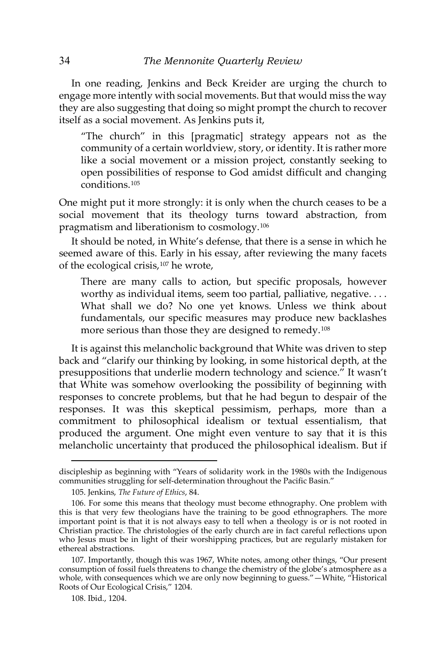In one reading, Jenkins and Beck Kreider are urging the church to engage more intently with social movements. But that would miss the way they are also suggesting that doing so might prompt the church to recover itself as a social movement. As Jenkins puts it,

"The church" in this [pragmatic] strategy appears not as the community of a certain worldview, story, or identity. It is rather more like a social movement or a mission project, constantly seeking to open possibilities of response to God amidst difficult and changing conditions.[105](#page-27-0)

One might put it more strongly: it is only when the church ceases to be a social movement that its theology turns toward abstraction, from pragmatism and liberationism to cosmology.[106](#page-27-1)

It should be noted, in White's defense, that there is a sense in which he seemed aware of this. Early in his essay, after reviewing the many facets of the ecological crisis,[107](#page-27-2) he wrote,

There are many calls to action, but specific proposals, however worthy as individual items, seem too partial, palliative, negative.... What shall we do? No one yet knows. Unless we think about fundamentals, our specific measures may produce new backlashes more serious than those they are designed to remedy.[108](#page-27-3)

It is against this melancholic background that White was driven to step back and "clarify our thinking by looking, in some historical depth, at the presuppositions that underlie modern technology and science." It wasn't that White was somehow overlooking the possibility of beginning with responses to concrete problems, but that he had begun to despair of the responses. It was this skeptical pessimism, perhaps, more than a commitment to philosophical idealism or textual essentialism, that produced the argument. One might even venture to say that it is this melancholic uncertainty that produced the philosophical idealism. But if

discipleship as beginning with "Years of solidarity work in the 1980s with the Indigenous communities struggling for self-determination throughout the Pacific Basin."

<sup>105.</sup> Jenkins, *The Future of Ethics*, 84.

<span id="page-27-1"></span><span id="page-27-0"></span><sup>106.</sup> For some this means that theology must become ethnography. One problem with this is that very few theologians have the training to be good ethnographers. The more important point is that it is not always easy to tell when a theology is or is not rooted in Christian practice. The christologies of the early church are in fact careful reflections upon who Jesus must be in light of their worshipping practices, but are regularly mistaken for ethereal abstractions.

<span id="page-27-3"></span><span id="page-27-2"></span><sup>107.</sup> Importantly, though this was 1967, White notes, among other things, "Our present consumption of fossil fuels threatens to change the chemistry of the globe's atmosphere as a whole, with consequences which we are only now beginning to guess."—White, "Historical Roots of Our Ecological Crisis," 1204.

<sup>108.</sup> Ibid., 1204.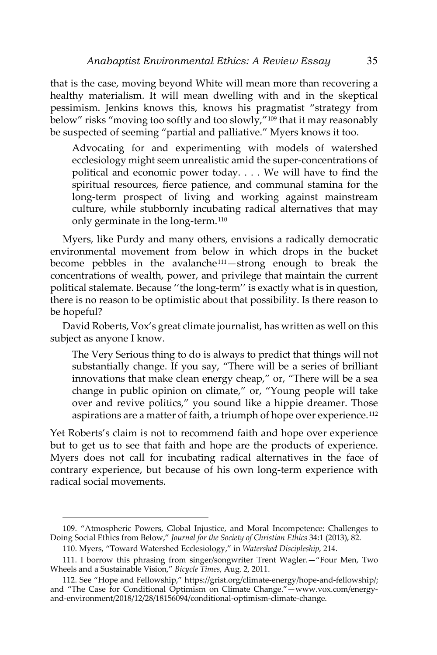that is the case, moving beyond White will mean more than recovering a healthy materialism. It will mean dwelling with and in the skeptical pessimism. Jenkins knows this, knows his pragmatist "strategy from below" risks "moving too softly and too slowly,"[109](#page-28-0) that it may reasonably be suspected of seeming "partial and palliative." Myers knows it too.

Advocating for and experimenting with models of watershed ecclesiology might seem unrealistic amid the super-concentrations of political and economic power today. . . . We will have to find the spiritual resources, fierce patience, and communal stamina for the long-term prospect of living and working against mainstream culture, while stubbornly incubating radical alternatives that may only germinate in the long-term.[110](#page-28-1)

Myers, like Purdy and many others, envisions a radically democratic environmental movement from below in which drops in the bucket become pebbles in the avalanche<sup>[111](#page-28-2)</sup>-strong enough to break the concentrations of wealth, power, and privilege that maintain the current political stalemate. Because ''the long-term'' is exactly what is in question, there is no reason to be optimistic about that possibility. Is there reason to be hopeful?

David Roberts, Vox's great climate journalist, has written as well on this subject as anyone I know.

The Very Serious thing to do is always to predict that things will not substantially change. If you say, "There will be a series of brilliant innovations that make clean energy cheap," or, "There will be a sea change in public opinion on climate," or, "Young people will take over and revive politics," you sound like a hippie dreamer. Those aspirations are a matter of faith, a triumph of hope over experience.<sup>[112](#page-28-3)</sup>

Yet Roberts's claim is not to recommend faith and hope over experience but to get us to see that faith and hope are the products of experience. Myers does not call for incubating radical alternatives in the face of contrary experience, but because of his own long-term experience with radical social movements.

<span id="page-28-0"></span><sup>109. &</sup>quot;Atmospheric Powers, Global Injustice, and Moral Incompetence: Challenges to Doing Social Ethics from Below," *Journal for the Society of Christian Ethics* 34:1 (2013), 82.

<sup>110.</sup> Myers, "Toward Watershed Ecclesiology," in *Watershed Discipleship,* 214.

<span id="page-28-2"></span><span id="page-28-1"></span><sup>111.</sup> I borrow this phrasing from singer/songwriter Trent Wagler.—"Four Men, Two Wheels and a Sustainable Vision," *Bicycle Times*, Aug. 2, 2011.

<span id="page-28-3"></span><sup>112.</sup> See "Hope and Fellowship," https://grist.org/climate-energy/hope-and-fellowship/; and "The Case for Conditional Optimism on Climate Change."—www.vox.com/energyand-environment/2018/12/28/18156094/conditional-optimism-climate-change.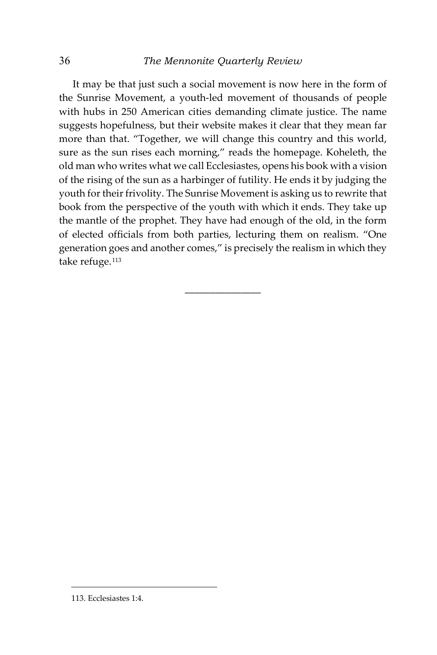## 36 *The Mennonite Quarterly Review*

It may be that just such a social movement is now here in the form of the Sunrise Movement, a youth-led movement of thousands of people with hubs in 250 American cities demanding climate justice. The name suggests hopefulness, but their website makes it clear that they mean far more than that. "Together, we will change this country and this world, sure as the sun rises each morning," reads the homepage. Koheleth, the old man who writes what we call Ecclesiastes, opens his book with a vision of the rising of the sun as a harbinger of futility. He ends it by judging the youth for their frivolity. The Sunrise Movement is asking us to rewrite that book from the perspective of the youth with which it ends. They take up the mantle of the prophet. They have had enough of the old, in the form of elected officials from both parties, lecturing them on realism. "One generation goes and another comes," is precisely the realism in which they take refuge.<sup>[113](#page-29-0)</sup>

\_\_\_\_\_\_\_\_\_\_\_\_\_\_\_

<span id="page-29-0"></span>113. Ecclesiastes 1:4.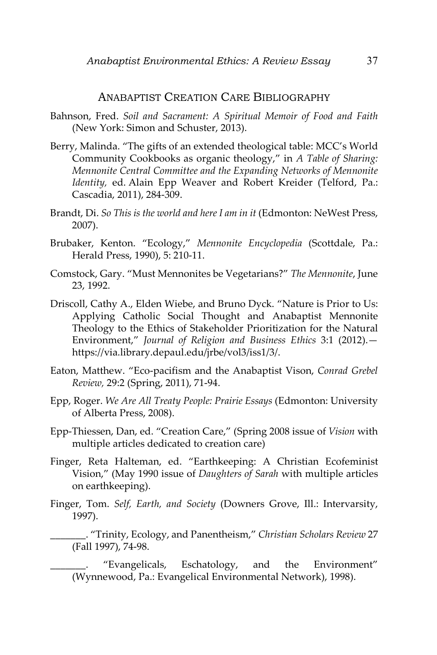### ANABAPTIST CREATION CARE BIBLIOGRAPHY

- Bahnson, Fred. *Soil and Sacrament: A Spiritual Memoir of Food and Faith* (New York: Simon and Schuster, 2013).
- Berry, Malinda. "The gifts of an extended theological table: MCC's World Community Cookbooks as organic theology," in *A Table of Sharing: Mennonite Central Committee and the Expanding Networks of Mennonite Identity,* ed. Alain Epp Weaver and Robert Kreider (Telford, Pa.: Cascadia, 2011), 284-309.
- Brandt, Di. *So This is the world and here I am in it* (Edmonton: NeWest Press, 2007).
- Brubaker, Kenton. "Ecology," *Mennonite Encyclopedia* (Scottdale, Pa.: Herald Press, 1990), 5: 210-11.
- Comstock, Gary. "Must Mennonites be Vegetarians?" *The Mennonite*, June 23, 1992.
- Driscoll, Cathy A., Elden Wiebe, and Bruno Dyck. "Nature is Prior to Us: Applying Catholic Social Thought and Anabaptist Mennonite Theology to the Ethics of Stakeholder Prioritization for the Natural Environment," *Journal of Religion and Business Ethics* 3:1 (2012). https://via.library.depaul.edu/jrbe/vol3/iss1/3/.
- Eaton, Matthew. "Eco-pacifism and the Anabaptist Vison, *Conrad Grebel Review,* 29:2 (Spring, 2011), 71-94.
- Epp, Roger. *We Are All Treaty People: Prairie Essays* (Edmonton: University of Alberta Press, 2008).
- Epp-Thiessen, Dan, ed. "Creation Care," (Spring 2008 issue of *Vision* with multiple articles dedicated to creation care)
- Finger, Reta Halteman, ed. "Earthkeeping: A Christian Ecofeminist Vision," (May 1990 issue of *Daughters of Sarah* with multiple articles on earthkeeping).
- Finger, Tom. *Self, Earth, and Society* (Downers Grove, Ill.: Intervarsity, 1997).

\_\_\_\_\_\_\_. "Trinity, Ecology, and Panentheism," *Christian Scholars Review* 27 (Fall 1997), 74-98.

"Evangelicals, Eschatology, and the Environment" (Wynnewood, Pa.: Evangelical Environmental Network), 1998).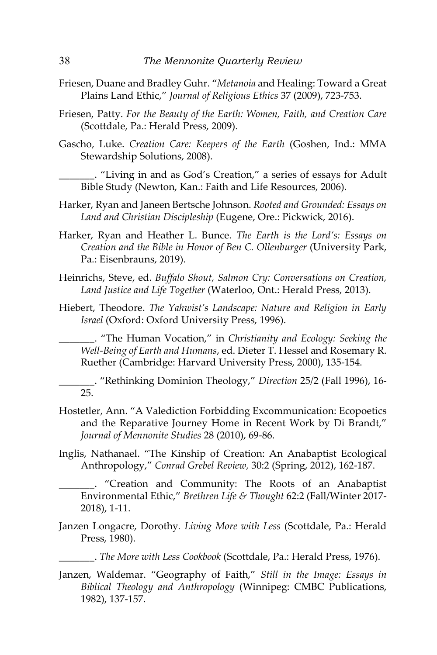- Friesen, Duane and Bradley Guhr. "*Metanoia* and Healing: Toward a Great Plains Land Ethic," *Journal of Religious Ethics* 37 (2009), 723-753.
- Friesen, Patty. *For the Beauty of the Earth: Women, Faith, and Creation Care* (Scottdale, Pa.: Herald Press, 2009).
- Gascho, Luke. *Creation Care: Keepers of the Earth* (Goshen, Ind.: MMA Stewardship Solutions, 2008).

\_\_\_\_\_\_\_. "Living in and as God's Creation," a series of essays for Adult Bible Study (Newton, Kan.: Faith and Life Resources, 2006).

- Harker, Ryan and Janeen Bertsche Johnson. *Rooted and Grounded: Essays on Land and Christian Discipleship* (Eugene, Ore.: Pickwick, 2016).
- Harker, Ryan and Heather L. Bunce. *The Earth is the Lord's: Essays on Creation and the Bible in Honor of Ben C. Ollenburger* (University Park, Pa.: Eisenbrauns, 2019).
- Heinrichs, Steve, ed. *Buffalo Shout, Salmon Cry: Conversations on Creation, Land Justice and Life Together* (Waterloo, Ont.: Herald Press, 2013).
- Hiebert, Theodore. *The Yahwist's Landscape: Nature and Religion in Early Israel* (Oxford: Oxford University Press, 1996).

\_\_\_\_\_\_\_. "The Human Vocation," in *Christianity and Ecology: Seeking the Well-Being of Earth and Humans*, ed. Dieter T. Hessel and Rosemary R. Ruether (Cambridge: Harvard University Press, 2000), 135-154.

\_\_\_\_\_\_\_. "Rethinking Dominion Theology," *Direction* 25/2 (Fall 1996), 16- 25.

- Hostetler, Ann. "A Valediction Forbidding Excommunication: Ecopoetics and the Reparative Journey Home in Recent Work by Di Brandt," *Journal of Mennonite Studies* 28 (2010), 69-86.
- Inglis, Nathanael. "The Kinship of Creation: An Anabaptist Ecological Anthropology," *Conrad Grebel Review,* 30:2 (Spring, 2012), 162-187.

\_\_\_\_\_\_\_. "Creation and Community: The Roots of an Anabaptist Environmental Ethic," *Brethren Life & Thought* 62:2 (Fall/Winter 2017- 2018), 1-11.

Janzen Longacre, Dorothy*. Living More with Less* (Scottdale, Pa.: Herald Press, 1980).

\_\_\_\_\_\_\_. *The More with Less Cookbook* (Scottdale, Pa.: Herald Press, 1976).

Janzen, Waldemar. "Geography of Faith," *Still in the Image: Essays in Biblical Theology and Anthropology* (Winnipeg: CMBC Publications, 1982), 137-157.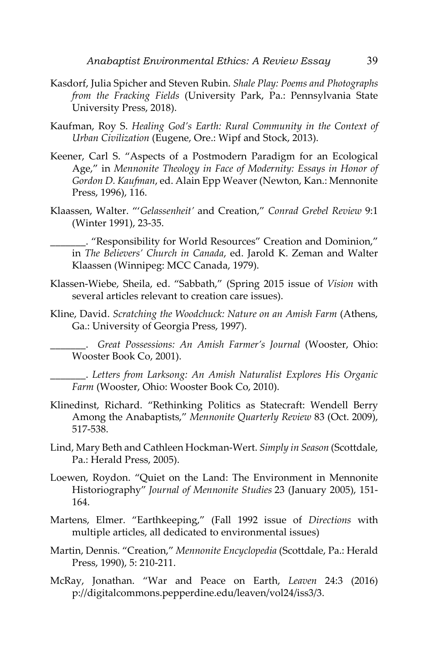- Kasdorf, Julia Spicher and Steven Rubin. *Shale Play: Poems and Photographs from the Fracking Fields* (University Park, Pa.: Pennsylvania State University Press, 2018).
- Kaufman, Roy S. *Healing God's Earth: Rural Community in the Context of Urban Civilization* (Eugene, Ore.: Wipf and Stock, 2013).
- Keener, Carl S. "Aspects of a Postmodern Paradigm for an Ecological Age," in *Mennonite Theology in Face of Modernity: Essays in Honor of Gordon D. Kaufman*, ed. Alain Epp Weaver (Newton, Kan.: Mennonite Press, 1996), 116.
- Klaassen, Walter. "'*Gelassenheit'* and Creation," *Conrad Grebel Review* 9:1 (Winter 1991), 23-35.

\_\_\_\_\_\_\_. "Responsibility for World Resources" Creation and Dominion," in *The Believers' Church in Canada*, ed. Jarold K. Zeman and Walter Klaassen (Winnipeg: MCC Canada, 1979).

- Klassen-Wiebe, Sheila, ed. "Sabbath," (Spring 2015 issue of *Vision* with several articles relevant to creation care issues).
- Kline, David. *Scratching the Woodchuck: Nature on an Amish Farm* (Athens, Ga.: University of Georgia Press, 1997).

\_\_\_\_\_\_\_. *Great Possessions: An Amish Farmer's Journal* (Wooster, Ohio: Wooster Book Co, 2001).

\_\_\_\_\_\_\_. *Letters from Larksong: An Amish Naturalist Explores His Organic Farm* (Wooster, Ohio: Wooster Book Co, 2010).

- Klinedinst, Richard. "Rethinking Politics as Statecraft: Wendell Berry Among the Anabaptists," *Mennonite Quarterly Review* 83 (Oct. 2009), 517-538.
- Lind, Mary Beth and Cathleen Hockman-Wert. *Simply in Season* (Scottdale, Pa.: Herald Press, 2005).
- Loewen, Roydon. "Quiet on the Land: The Environment in Mennonite Historiography" *Journal of Mennonite Studies* 23 (January 2005), 151- 164.
- Martens, Elmer. "Earthkeeping," (Fall 1992 issue of *Directions* with multiple articles, all dedicated to environmental issues)
- Martin, Dennis. "Creation," *Mennonite Encyclopedia* (Scottdale, Pa.: Herald Press, 1990), 5: 210-211.
- McRay, Jonathan. "War and Peace on Earth, *Leaven* 24:3 (2016) p://digitalcommons.pepperdine.edu/leaven/vol24/iss3/3.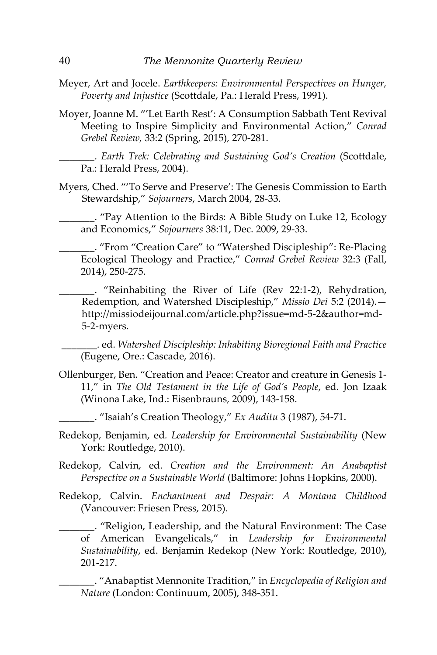- Meyer, Art and Jocele. *Earthkeepers: Environmental Perspectives on Hunger, Poverty and Injustice* (Scottdale, Pa.: Herald Press, 1991).
- Moyer, Joanne M. "'Let Earth Rest': A Consumption Sabbath Tent Revival Meeting to Inspire Simplicity and Environmental Action," *Conrad Grebel Review,* 33:2 (Spring, 2015), 270-281.

\_\_\_\_\_\_\_. *Earth Trek: Celebrating and Sustaining God's Creation* (Scottdale, Pa.: Herald Press, 2004).

Myers, Ched. "'To Serve and Preserve': The Genesis Commission to Earth Stewardship," *Sojourners*, March 2004, 28-33.

\_\_\_\_\_\_\_. "Pay Attention to the Birds: A Bible Study on Luke 12, Ecology and Economics," *Sojourners* 38:11, Dec. 2009, 29-33.

\_\_\_\_\_\_\_. "From "Creation Care" to "Watershed Discipleship": Re-Placing Ecological Theology and Practice," *Conrad Grebel Review* 32:3 (Fall, 2014), 250-275.

\_\_\_\_\_\_\_. "Reinhabiting the River of Life (Rev 22:1-2), Rehydration, Redemption, and Watershed Discipleship," *Missio Dei* 5:2 (2014). http://missiodeijournal.com/article.php?issue=md-5-2&author=md-5-2-myers.

\_\_\_\_\_\_\_. ed. *Watershed Discipleship: Inhabiting Bioregional Faith and Practice* (Eugene, Ore.: Cascade, 2016).

Ollenburger, Ben. "Creation and Peace: Creator and creature in Genesis 1- 11," in *The Old Testament in the Life of God's People*, ed. Jon Izaak (Winona Lake, Ind.: Eisenbrauns, 2009), 143-158.

\_\_\_\_\_\_\_. "Isaiah's Creation Theology," *Ex Auditu* 3 (1987), 54-71.

- Redekop, Benjamin, ed*. Leadership for Environmental Sustainability* (New York: Routledge, 2010).
- Redekop, Calvin, ed. *Creation and the Environment: An Anabaptist Perspective on a Sustainable World* (Baltimore: Johns Hopkins, 2000).
- Redekop, Calvin. *Enchantment and Despair: A Montana Childhood* (Vancouver: Friesen Press, 2015).

\_\_\_\_\_\_\_. "Religion, Leadership, and the Natural Environment: The Case of American Evangelicals," in *Leadership for Environmental Sustainability*, ed. Benjamin Redekop (New York: Routledge, 2010), 201-217.

\_\_\_\_\_\_\_. "Anabaptist Mennonite Tradition," in *Encyclopedia of Religion and Nature* (London: Continuum, 2005), 348-351.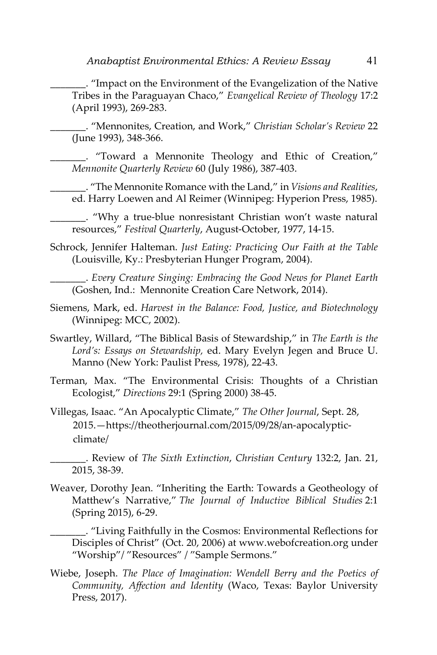\_\_\_\_\_\_\_. "Impact on the Environment of the Evangelization of the Native Tribes in the Paraguayan Chaco," *Evangelical Review of Theology* 17:2 (April 1993), 269-283.

\_\_\_\_\_\_\_. "Mennonites, Creation, and Work," *Christian Scholar's Review* 22 (June 1993), 348-366.

\_\_\_\_\_\_\_. "Toward a Mennonite Theology and Ethic of Creation," *Mennonite Quarterly Review* 60 (July 1986), 387-403.

\_\_\_\_\_\_\_. "The Mennonite Romance with the Land," in *Visions and Realities*, ed. Harry Loewen and Al Reimer (Winnipeg: Hyperion Press, 1985).

\_\_\_\_\_\_\_. "Why a true-blue nonresistant Christian won't waste natural resources," *Festival Quarterly*, August-October, 1977, 14-15.

Schrock, Jennifer Halteman. *Just Eating: Practicing Our Faith at the Table* (Louisville, Ky.: Presbyterian Hunger Program, 2004).

\_\_\_\_\_\_\_. *Every Creature Singing: Embracing the Good News for Planet Earth* (Goshen, Ind.: Mennonite Creation Care Network, 2014).

- Siemens, Mark, ed. *Harvest in the Balance: Food, Justice, and Biotechnology* (Winnipeg: MCC, 2002).
- Swartley, Willard, "The Biblical Basis of Stewardship," in *The Earth is the Lord's: Essays on Stewardship,* ed. Mary Evelyn Jegen and Bruce U. Manno (New York: Paulist Press, 1978), 22-43.
- Terman, Max. "The Environmental Crisis: Thoughts of a Christian Ecologist," *Directions* 29:1 (Spring 2000) 38-45.
- Villegas, Isaac. "An Apocalyptic Climate," *The Other Journal*, Sept. 28, 2015.—https://theotherjournal.com/2015/09/28/an-apocalypticclimate/

\_\_\_\_\_\_\_. Review of *The Sixth Extinction*, *Christian Century* 132:2, Jan. 21, 2015, 38-39.

Weaver, Dorothy Jean. "Inheriting the Earth: Towards a Geotheology of Matthew's Narrative," *The Journal of Inductive Biblical Studies* 2:1 (Spring 2015), 6-29.

\_\_\_\_\_\_\_. "Living Faithfully in the Cosmos: Environmental Reflections for Disciples of Christ" (Oct. 20, 2006) at www.webofcreation.org under "Worship"/ "Resources" / "Sample Sermons."

Wiebe, Joseph. *The Place of Imagination: Wendell Berry and the Poetics of Community, Affection and Identity* (Waco, Texas: Baylor University Press, 2017).